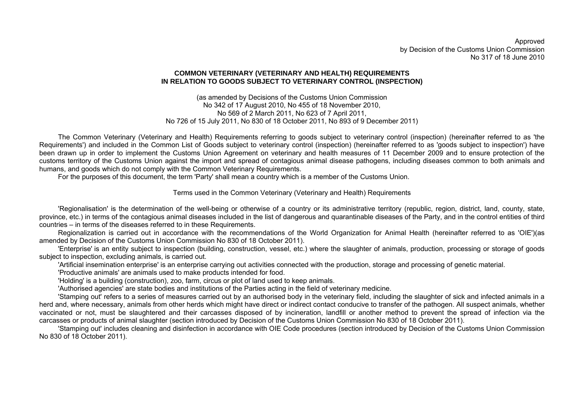Approved by Decision of the Customs Union Commission No 317 of 18 June 2010

#### **COMMON VETERINARY (VETERINARY AND HEALTH) REQUIREMENTS IN RELATION TO GOODS SUBJECT TO VETERINARY CONTROL (INSPECTION)**

(as amended by Decisions of the Customs Union Commission No 342 of 17 August 2010, No 455 of 18 November 2010, No 569 of 2 March 2011, No 623 of 7 April 2011, No 726 of 15 July 2011, No 830 of 18 October 2011, No 893 of 9 December 2011)

The Common Veterinary (Veterinary and Health) Requirements referring to goods subject to veterinary control (inspection) (hereinafter referred to as 'the Requirements') and included in the Common List of Goods subject to veterinary control (inspection) (hereinafter referred to as 'goods subject to inspection') have been drawn up in order to implement the Customs Union Agreement on veterinary and health measures of 11 December 2009 and to ensure protection of the customs territory of the Customs Union against the import and spread of contagious animal disease pathogens, including diseases common to both animals and humans, and goods which do not comply with the Common Veterinary Requirements.

For the purposes of this document, the term 'Party' shall mean a country which is a member of the Customs Union.

### Terms used in the Common Veterinary (Veterinary and Health) Requirements

'Regionalisation' is the determination of the well-being or otherwise of a country or its administrative territory (republic, region, district, land, county, state, province, etc.) in terms of the contagious animal diseases included in the list of dangerous and quarantinable diseases of the Party, and in the control entities of third countries – in terms of the diseases referred to in these Requirements.

Regionalization is carried out in accordance with the recommendations of the World Organization for Animal Health (hereinafter referred to as 'OIE')(as amended by Decision of the Customs Union Commission No 830 of 18 October 2011).

'Enterprise' is an entity subject to inspection (building, construction, vessel, etc.) where the slaughter of animals, production, processing or storage of goods subject to inspection, excluding animals, is carried out.

'Artificial insemination enterprise' is an enterprise carrying out activities connected with the production, storage and processing of genetic material.

'Productive animals' are animals used to make products intended for food.

'Holding' is a building (construction), zoo, farm, circus or plot of land used to keep animals.

'Authorised agencies' are state bodies and institutions of the Parties acting in the field of veterinary medicine.

'Stamping out' refers to a series of measures carried out by an authorised body in the veterinary field, including the slaughter of sick and infected animals in a herd and, where necessary, animals from other herds which might have direct or indirect contact conducive to transfer of the pathogen. All suspect animals, whether vaccinated or not, must be slaughtered and their carcasses disposed of by incineration, landfill or another method to prevent the spread of infection via the carcasses or products of animal slaughter (section introduced by Decision of the Customs Union Commission No 830 of 18 October 2011).

'Stamping out' includes cleaning and disinfection in accordance with OIE Code procedures (section introduced by Decision of the Customs Union Commission No 830 of 18 October 2011).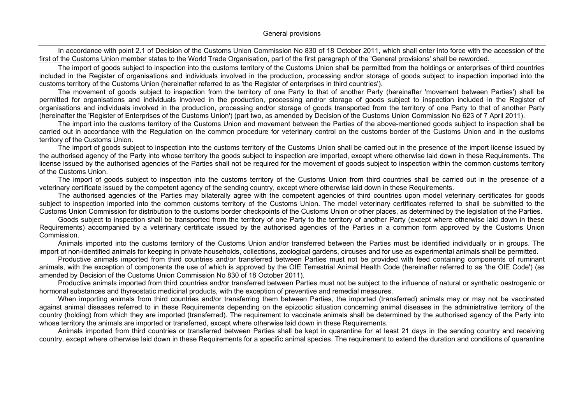In accordance with point 2.1 of Decision of the Customs Union Commission No 830 of 18 October 2011, which shall enter into force with the accession of the first of the Customs Union member states to the World Trade Organisation, part of the first paragraph of the 'General provisions' shall be reworded.

The import of goods subject to inspection into the customs territory of the Customs Union shall be permitted from the holdings or enterprises of third countries included in the Register of organisations and individuals involved in the production, processing and/or storage of goods subject to inspection imported into the customs territory of the Customs Union (hereinafter referred to as 'the Register of enterprises in third countries').

The movement of goods subject to inspection from the territory of one Party to that of another Party (hereinafter 'movement between Parties') shall be permitted for organisations and individuals involved in the production, processing and/or storage of goods subject to inspection included in the Register of organisations and individuals involved in the production, processing and/or storage of goods transported from the territory of one Party to that of another Party (hereinafter the 'Register of Enterprises of the Customs Union') (part two, as amended by Decision of the Customs Union Commission No 623 of 7 April 2011).

The import into the customs territory of the Customs Union and movement between the Parties of the above-mentioned goods subject to inspection shall be carried out in accordance with the Regulation on the common procedure for veterinary control on the customs border of the Customs Union and in the customs territory of the Customs Union.

The import of goods subject to inspection into the customs territory of the Customs Union shall be carried out in the presence of the import license issued by the authorised agency of the Party into whose territory the goods subject to inspection are imported, except where otherwise laid down in these Requirements. The license issued by the authorised agencies of the Parties shall not be required for the movement of goods subject to inspection within the common customs territory of the Customs Union.

The import of goods subject to inspection into the customs territory of the Customs Union from third countries shall be carried out in the presence of a veterinary certificate issued by the competent agency of the sending country, except where otherwise laid down in these Requirements.

The authorised agencies of the Parties may bilaterally agree with the competent agencies of third countries upon model veterinary certificates for goods subject to inspection imported into the common customs territory of the Customs Union. The model veterinary certificates referred to shall be submitted to the Customs Union Commission for distribution to the customs border checkpoints of the Customs Union or other places, as determined by the legislation of the Parties.

Goods subject to inspection shall be transported from the territory of one Party to the territory of another Party (except where otherwise laid down in these Requirements) accompanied by a veterinary certificate issued by the authorised agencies of the Parties in a common form approved by the Customs Union Commission.

Animals imported into the customs territory of the Customs Union and/or transferred between the Parties must be identified individually or in groups. The import of non-identified animals for keeping in private households, collections, zoological gardens, circuses and for use as experimental animals shall be permitted.

Productive animals imported from third countries and/or transferred between Parties must not be provided with feed containing components of ruminant animals, with the exception of components the use of which is approved by the OIE Terrestrial Animal Health Code (hereinafter referred to as 'the OIE Code') (as amended by Decision of the Customs Union Commission No 830 of 18 October 2011).

Productive animals imported from third countries and/or transferred between Parties must not be subject to the influence of natural or synthetic oestrogenic or hormonal substances and thyreostatic medicinal products, with the exception of preventive and remedial measures.

When importing animals from third countries and/or transferring them between Parties, the imported (transferred) animals may or may not be vaccinated against animal diseases referred to in these Requirements depending on the epizootic situation concerning animal diseases in the administrative territory of the country (holding) from which they are imported (transferred). The requirement to vaccinate animals shall be determined by the authorised agency of the Party into whose territory the animals are imported or transferred, except where otherwise laid down in these Requirements.

Animals imported from third countries or transferred between Parties shall be kept in quarantine for at least 21 days in the sending country and receiving country, except where otherwise laid down in these Requirements for a specific animal species. The requirement to extend the duration and conditions of quarantine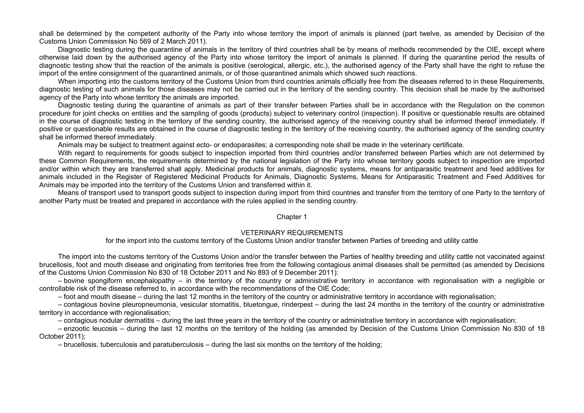shall be determined by the competent authority of the Party into whose territory the import of animals is planned (part twelve, as amended by Decision of the Customs Union Commission No 569 of 2 March 2011).

Diagnostic testing during the quarantine of animals in the territory of third countries shall be by means of methods recommended by the OIE, except where otherwise laid down by the authorised agency of the Party into whose territory the import of animals is planned. If during the quarantine period the results of diagnostic testing show that the reaction of the animals is positive (serological, allergic, etc.), the authorised agency of the Party shall have the right to refuse the import of the entire consignment of the quarantined animals, or of those quarantined animals which showed such reactions.

When importing into the customs territory of the Customs Union from third countries animals officially free from the diseases referred to in these Requirements, diagnostic testing of such animals for those diseases may not be carried out in the territory of the sending country. This decision shall be made by the authorised agency of the Party into whose territory the animals are imported.

Diagnostic testing during the quarantine of animals as part of their transfer between Parties shall be in accordance with the Regulation on the common procedure for joint checks on entities and the sampling of goods (products) subject to veterinary control (inspection). If positive or questionable results are obtained in the course of diagnostic testing in the territory of the sending country, the authorised agency of the receiving country shall be informed thereof immediately. If positive or questionable results are obtained in the course of diagnostic testing in the territory of the receiving country, the authorised agency of the sending country shall be informed thereof immediately.

Animals may be subject to treatment against ecto- or endoparasites; a corresponding note shall be made in the veterinary certificate.

With regard to requirements for goods subject to inspection imported from third countries and/or transferred between Parties which are not determined by these Common Requirements, the requirements determined by the national legislation of the Party into whose territory goods subject to inspection are imported and/or within which they are transferred shall apply. Medicinal products for animals, diagnostic systems, means for antiparasitic treatment and feed additives for animals included in the Register of Registered Medicinal Products for Animals, Diagnostic Systems, Means for Antiparasitic Treatment and Feed Additives for Animals may be imported into the territory of the Customs Union and transferred within it.

Means of transport used to transport goods subject to inspection during import from third countries and transfer from the territory of one Party to the territory of another Party must be treated and prepared in accordance with the rules applied in the sending country.

#### Chapter 1

### VETERINARY REQUIREMENTS

for the import into the customs territory of the Customs Union and/or transfer between Parties of breeding and utility cattle

The import into the customs territory of the Customs Union and/or the transfer between the Parties of healthy breeding and utility cattle not vaccinated against brucellosis, foot and mouth disease and originating from territories free from the following contagious animal diseases shall be permitted (as amended by Decisions of the Customs Union Commission No 830 of 18 October 2011 and No 893 of 9 December 2011):

– bovine spongiform encephalopathy – in the territory of the country or administrative territory in accordance with regionalisation with a negligible or controllable risk of the disease referred to, in accordance with the recommendations of the OIE Code;

– foot and mouth disease – during the last 12 months in the territory of the country or administrative territory in accordance with regionalisation;

– contagious bovine pleuropneumonia, vesicular stomatitis, bluetongue, rinderpest – during the last 24 months in the territory of the country or administrative territory in accordance with regionalisation;

– contagious nodular dermatitis – during the last three years in the territory of the country or administrative territory in accordance with regionalisation;

– enzootic leucosis – during the last 12 months on the territory of the holding (as amended by Decision of the Customs Union Commission No 830 of 18 October 2011);

– brucellosis, tuberculosis and paratuberculosis – during the last six months on the territory of the holding;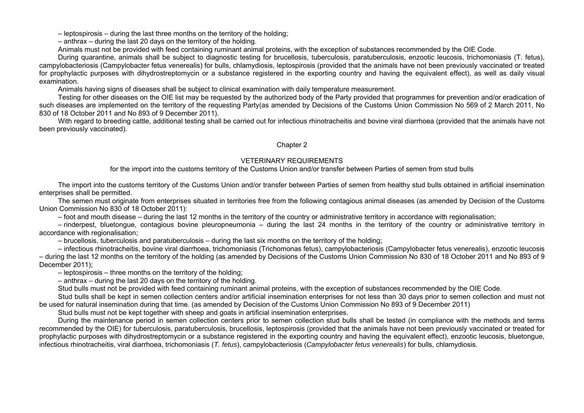– leptospirosis – during the last three months on the territory of the holding;

– anthrax – during the last 20 days on the territory of the holding.

Animals must not be provided with feed containing ruminant animal proteins, with the exception of substances recommended by the OIE Code.

During quarantine, animals shall be subject to diagnostic testing for brucellosis, tuberculosis, paratuberculosis, enzootic leucosis, trichomoniasis (T. fetus), campylobacteriosis (Campylobacter fetus venerealis) for bulls, chlamydiosis, leptospirosis (provided that the animals have not been previously vaccinated or treated for prophylactic purposes with dihydrostreptomycin or a substance registered in the exporting country and having the equivalent effect), as well as daily visual examination.

Animals having signs of diseases shall be subject to clinical examination with daily temperature measurement.

Testing for other diseases on the OIE list may be requested by the authorized body of the Party provided that programmes for prevention and/or eradication of such diseases are implemented on the territory of the requesting Party(as amended by Decisions of the Customs Union Commission No 569 of 2 March 2011, No 830 of 18 October 2011 and No 893 of 9 December 2011).

With regard to breeding cattle, additional testing shall be carried out for infectious rhinotracheitis and bovine viral diarrhoea (provided that the animals have not been previously vaccinated).

#### Chapter 2

### VETERINARY REQUIREMENTS

for the import into the customs territory of the Customs Union and/or transfer between Parties of semen from stud bulls

The import into the customs territory of the Customs Union and/or transfer between Parties of semen from healthy stud bulls obtained in artificial insemination enterprises shall be permitted.

The semen must originate from enterprises situated in territories free from the following contagious animal diseases (as amended by Decision of the Customs Union Commission No 830 of 18 October 2011):

– foot and mouth disease – during the last 12 months in the territory of the country or administrative territory in accordance with regionalisation;

– rinderpest, bluetongue, contagious bovine pleuropneumonia – during the last 24 months in the territory of the country or administrative territory in accordance with regionalisation;

– brucellosis, tuberculosis and paratuberculosis – during the last six months on the territory of the holding;

– infectious rhinotracheitis, bovine viral diarrhoea, trichomoniasis (Trichomonas fetus), campylobacteriosis (Campylobacter fetus venerealis), enzootic leucosis – during the last 12 months on the territory of the holding (as amended by Decisions of the Customs Union Commission No 830 of 18 October 2011 and No 893 of 9 December 2011);

– leptospirosis – three months on the territory of the holding;

– anthrax – during the last 20 days on the territory of the holding.

Stud bulls must not be provided with feed containing ruminant animal proteins, with the exception of substances recommended by the OIE Code.

Stud bulls shall be kept in semen collection centers and/or artificial insemination enterprises for not less than 30 days prior to semen collection and must not be used for natural insemination during that time. (as amended by Decision of the Customs Union Commission No 893 of 9 December 2011)

Stud bulls must not be kept together with sheep and goats in artificial insemination enterprises.

During the maintenance period in semen collection centers prior to semen collection stud bulls shall be tested (in compliance with the methods and terms recommended by the OIE) for tuberculosis, paratuberculosis, brucellosis, leptospirosis (provided that the animals have not been previously vaccinated or treated for prophylactic purposes with dihydrostreptomycin or a substance registered in the exporting country and having the equivalent effect), enzootic leucosis, bluetongue, infectious rhinotracheitis, viral diarrhoea, trichomoniasis (*T. fetus*), campylobacteriosis (*Campylobacter fetus venerealis*) for bulls, chlamydiosis.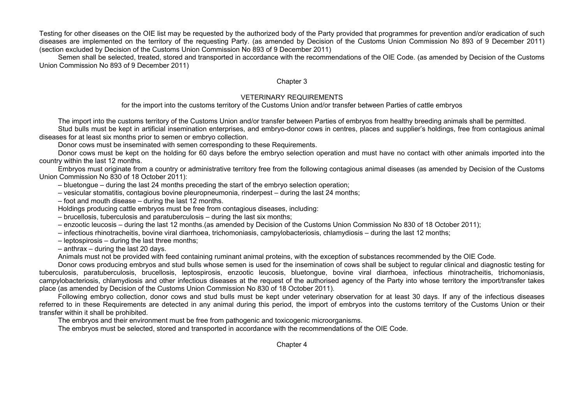Testing for other diseases on the OIE list may be requested by the authorized body of the Party provided that programmes for prevention and/or eradication of such diseases are implemented on the territory of the requesting Party. (as amended by Decision of the Customs Union Commission No 893 of 9 December 2011) (section excluded by Decision of the Customs Union Commission No 893 of 9 December 2011)

Semen shall be selected, treated, stored and transported in accordance with the recommendations of the OIE Code. (as amended by Decision of the Customs Union Commission No 893 of 9 December 2011)

#### Chapter 3

### VETERINARY REQUIREMENTS

for the import into the customs territory of the Customs Union and/or transfer between Parties of cattle embryos

The import into the customs territory of the Customs Union and/or transfer between Parties of embryos from healthy breeding animals shall be permitted. Stud bulls must be kept in artificial insemination enterprises, and embryo-donor cows in centres, places and supplier's holdings, free from contagious animal diseases for at least six months prior to semen or embryo collection.

Donor cows must be inseminated with semen corresponding to these Requirements.

Donor cows must be kept on the holding for 60 days before the embryo selection operation and must have no contact with other animals imported into the country within the last 12 months.

Embryos must originate from a country or administrative territory free from the following contagious animal diseases (as amended by Decision of the Customs Union Commission No 830 of 18 October 2011):

– bluetongue – during the last 24 months preceding the start of the embryo selection operation;

- vesicular stomatitis, contagious bovine pleuropneumonia, rinderpest during the last 24 months;
- foot and mouth disease during the last 12 months.

Holdings producing cattle embryos must be free from contagious diseases, including:

- brucellosis, tuberculosis and paratuberculosis during the last six months;
- enzootic leucosis during the last 12 months.(as amended by Decision of the Customs Union Commission No 830 of 18 October 2011);
- infectious rhinotracheitis, bovine viral diarrhoea, trichomoniasis, campylobacteriosis, chlamydiosis during the last 12 months;
- leptospirosis during the last three months;
- anthrax during the last 20 days.

Animals must not be provided with feed containing ruminant animal proteins, with the exception of substances recommended by the OIE Code.

Donor cows producing embryos and stud bulls whose semen is used for the insemination of cows shall be subject to regular clinical and diagnostic testing for tuberculosis, paratuberculosis, brucellosis, leptospirosis, enzootic leucosis, bluetongue, bovine viral diarrhoea, infectious rhinotracheitis, trichomoniasis, campylobacteriosis, chlamydiosis and other infectious diseases at the request of the authorised agency of the Party into whose territory the import/transfer takes place (as amended by Decision of the Customs Union Commission No 830 of 18 October 2011).

Following embryo collection, donor cows and stud bulls must be kept under veterinary observation for at least 30 days. If any of the infectious diseases referred to in these Requirements are detected in any animal during this period, the import of embryos into the customs territory of the Customs Union or their transfer within it shall be prohibited.

The embryos and their environment must be free from pathogenic and toxicogenic microorganisms.

The embryos must be selected, stored and transported in accordance with the recommendations of the OIE Code.

Chapter 4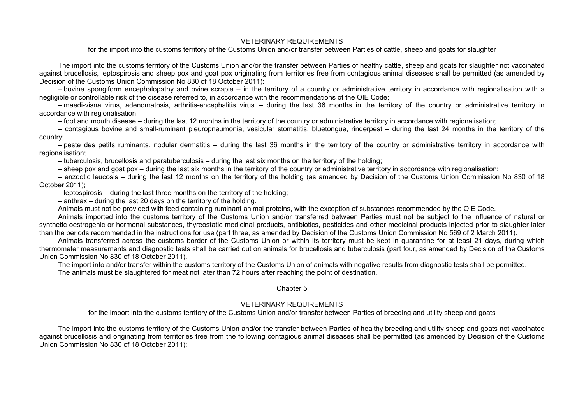### VETERINARY REQUIREMENTS

for the import into the customs territory of the Customs Union and/or transfer between Parties of cattle, sheep and goats for slaughter

The import into the customs territory of the Customs Union and/or the transfer between Parties of healthy cattle, sheep and goats for slaughter not vaccinated against brucellosis, leptospirosis and sheep pox and goat pox originating from territories free from contagious animal diseases shall be permitted (as amended by Decision of the Customs Union Commission No 830 of 18 October 2011):

– bovine spongiform encephalopathy and ovine scrapie – in the territory of a country or administrative territory in accordance with regionalisation with a negligible or controllable risk of the disease referred to, in accordance with the recommendations of the OIE Code;

– maedi-visna virus, adenomatosis, arthritis-encephalitis virus – during the last 36 months in the territory of the country or administrative territory in accordance with regionalisation:

– foot and mouth disease – during the last 12 months in the territory of the country or administrative territory in accordance with regionalisation;

– contagious bovine and small-ruminant pleuropneumonia, vesicular stomatitis, bluetongue, rinderpest – during the last 24 months in the territory of the country;

– peste des petits ruminants, nodular dermatitis – during the last 36 months in the territory of the country or administrative territory in accordance with regionalisation;

– tuberculosis, brucellosis and paratuberculosis – during the last six months on the territory of the holding;

– sheep pox and goat pox – during the last six months in the territory of the country or administrative territory in accordance with regionalisation;

– enzootic leucosis – during the last 12 months on the territory of the holding (as amended by Decision of the Customs Union Commission No 830 of 18 October 2011);

– leptospirosis – during the last three months on the territory of the holding;

– anthrax – during the last 20 days on the territory of the holding.

Animals must not be provided with feed containing ruminant animal proteins, with the exception of substances recommended by the OIE Code.

Animals imported into the customs territory of the Customs Union and/or transferred between Parties must not be subject to the influence of natural or synthetic oestrogenic or hormonal substances, thyreostatic medicinal products, antibiotics, pesticides and other medicinal products injected prior to slaughter later than the periods recommended in the instructions for use (part three, as amended by Decision of the Customs Union Commission No 569 of 2 March 2011).

Animals transferred across the customs border of the Customs Union or within its territory must be kept in quarantine for at least 21 days, during which thermometer measurements and diagnostic tests shall be carried out on animals for brucellosis and tuberculosis (part four, as amended by Decision of the Customs Union Commission No 830 of 18 October 2011).

The import into and/or transfer within the customs territory of the Customs Union of animals with negative results from diagnostic tests shall be permitted. The animals must be slaughtered for meat not later than 72 hours after reaching the point of destination.

Chapter 5

### VETERINARY REQUIREMENTS

for the import into the customs territory of the Customs Union and/or transfer between Parties of breeding and utility sheep and goats

The import into the customs territory of the Customs Union and/or the transfer between Parties of healthy breeding and utility sheep and goats not vaccinated against brucellosis and originating from territories free from the following contagious animal diseases shall be permitted (as amended by Decision of the Customs Union Commission No 830 of 18 October 2011):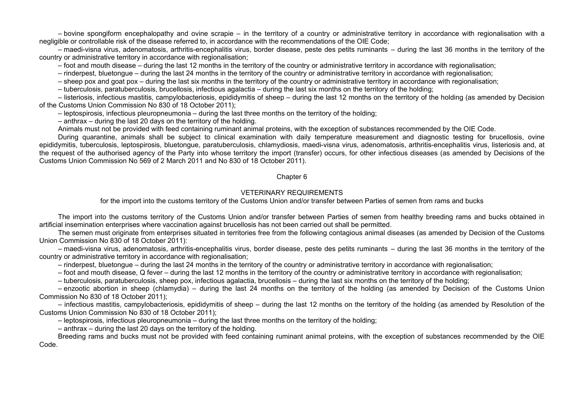– bovine spongiform encephalopathy and ovine scrapie – in the territory of a country or administrative territory in accordance with regionalisation with a negligible or controllable risk of the disease referred to, in accordance with the recommendations of the OIE Code;

– maedi-visna virus, adenomatosis, arthritis-encephalitis virus, border disease, peste des petits ruminants – during the last 36 months in the territory of the country or administrative territory in accordance with regionalisation;

– foot and mouth disease – during the last 12 months in the territory of the country or administrative territory in accordance with regionalisation;

– rinderpest, bluetongue – during the last 24 months in the territory of the country or administrative territory in accordance with regionalisation;

– sheep pox and goat pox – during the last six months in the territory of the country or administrative territory in accordance with regionalisation;

– tuberculosis, paratuberculosis, brucellosis, infectious agalactia – during the last six months on the territory of the holding;

– listeriosis, infectious mastitis, campylobacteriosis, epididymitis of sheep – during the last 12 months on the territory of the holding (as amended by Decision of the Customs Union Commission No 830 of 18 October 2011);

– leptospirosis, infectious pleuropneumonia – during the last three months on the territory of the holding;

– anthrax – during the last 20 days on the territory of the holding.

Animals must not be provided with feed containing ruminant animal proteins, with the exception of substances recommended by the OIE Code.

During quarantine, animals shall be subject to clinical examination with daily temperature measurement and diagnostic testing for brucellosis, ovine epididymitis, tuberculosis, leptospirosis, bluetongue, paratuberculosis, chlamydiosis, maedi-visna virus, adenomatosis, arthritis-encephalitis virus, listeriosis and, at the request of the authorised agency of the Party into whose territory the import (transfer) occurs, for other infectious diseases (as amended by Decisions of the Customs Union Commission No 569 of 2 March 2011 and No 830 of 18 October 2011).

#### Chapter 6

### VETERINARY REQUIREMENTS

for the import into the customs territory of the Customs Union and/or transfer between Parties of semen from rams and bucks

The import into the customs territory of the Customs Union and/or transfer between Parties of semen from healthy breeding rams and bucks obtained in artificial insemination enterprises where vaccination against brucellosis has not been carried out shall be permitted.

The semen must originate from enterprises situated in territories free from the following contagious animal diseases (as amended by Decision of the Customs Union Commission No 830 of 18 October 2011):

– maedi-visna virus, adenomatosis, arthritis-encephalitis virus, border disease, peste des petits ruminants – during the last 36 months in the territory of the country or administrative territory in accordance with regionalisation;

– rinderpest, bluetongue – during the last 24 months in the territory of the country or administrative territory in accordance with regionalisation;

– foot and mouth disease, Q fever – during the last 12 months in the territory of the country or administrative territory in accordance with regionalisation;

– tuberculosis, paratuberculosis, sheep pox, infectious agalactia, brucellosis – during the last six months on the territory of the holding;

– enzootic abortion in sheep (chlamydia) – during the last 24 months on the territory of the holding (as amended by Decision of the Customs Union Commission No 830 of 18 October 2011);

– infectious mastitis, campylobacteriosis, epididymitis of sheep – during the last 12 months on the territory of the holding (as amended by Resolution of the Customs Union Commission No 830 of 18 October 2011);

– leptospirosis, infectious pleuropneumonia – during the last three months on the territory of the holding;

– anthrax – during the last 20 days on the territory of the holding.

Breeding rams and bucks must not be provided with feed containing ruminant animal proteins, with the exception of substances recommended by the OIE Code.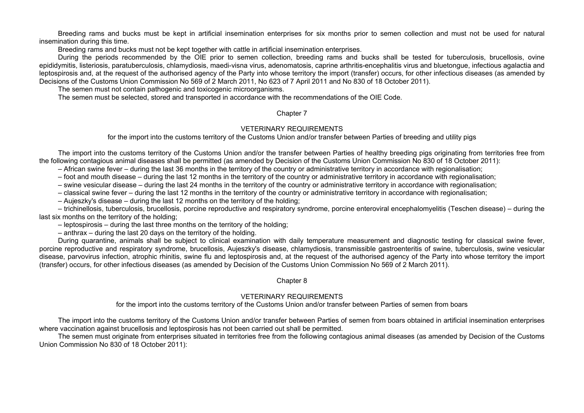Breeding rams and bucks must be kept in artificial insemination enterprises for six months prior to semen collection and must not be used for natural insemination during this time.

Breeding rams and bucks must not be kept together with cattle in artificial insemination enterprises.

During the periods recommended by the OIE prior to semen collection, breeding rams and bucks shall be tested for tuberculosis, brucellosis, ovine epididymitis, listeriosis, paratuberculosis, chlamydiosis, maedi-visna virus, adenomatosis, caprine arthritis-encephalitis virus and bluetongue, infectious agalactia and leptospirosis and, at the request of the authorised agency of the Party into whose territory the import (transfer) occurs, for other infectious diseases (as amended by Decisions of the Customs Union Commission No 569 of 2 March 2011, No 623 of 7 April 2011 and No 830 of 18 October 2011).

The semen must not contain pathogenic and toxicogenic microorganisms.

The semen must be selected, stored and transported in accordance with the recommendations of the OIE Code.

### Chapter 7

### VETERINARY REQUIREMENTS

for the import into the customs territory of the Customs Union and/or transfer between Parties of breeding and utility pigs

The import into the customs territory of the Customs Union and/or the transfer between Parties of healthy breeding pigs originating from territories free from the following contagious animal diseases shall be permitted (as amended by Decision of the Customs Union Commission No 830 of 18 October 2011):

- African swine fever during the last 36 months in the territory of the country or administrative territory in accordance with regionalisation;
- foot and mouth disease during the last 12 months in the territory of the country or administrative territory in accordance with regionalisation;
- swine vesicular disease during the last 24 months in the territory of the country or administrative territory in accordance with regionalisation;
- classical swine fever during the last 12 months in the territory of the country or administrative territory in accordance with regionalisation;
- Aujeszky's disease during the last 12 months on the territory of the holding;

– trichinellosis, tuberculosis, brucellosis, porcine reproductive and respiratory syndrome, porcine enteroviral encephalomyelitis (Teschen disease) – during the last six months on the territory of the holding;

– leptospirosis – during the last three months on the territory of the holding;

– anthrax – during the last 20 days on the territory of the holding.

During quarantine, animals shall be subject to clinical examination with daily temperature measurement and diagnostic testing for classical swine fever, porcine reproductive and respiratory syndrome, brucellosis, Aujeszky's disease, chlamydiosis, transmissible gastroenteritis of swine, tuberculosis, swine vesicular disease, parvovirus infection, atrophic rhinitis, swine flu and leptospirosis and, at the request of the authorised agency of the Party into whose territory the import (transfer) occurs, for other infectious diseases (as amended by Decision of the Customs Union Commission No 569 of 2 March 2011).

### Chapter 8

## VETERINARY REQUIREMENTS

for the import into the customs territory of the Customs Union and/or transfer between Parties of semen from boars

The import into the customs territory of the Customs Union and/or transfer between Parties of semen from boars obtained in artificial insemination enterprises where vaccination against brucellosis and leptospirosis has not been carried out shall be permitted.

The semen must originate from enterprises situated in territories free from the following contagious animal diseases (as amended by Decision of the Customs Union Commission No 830 of 18 October 2011):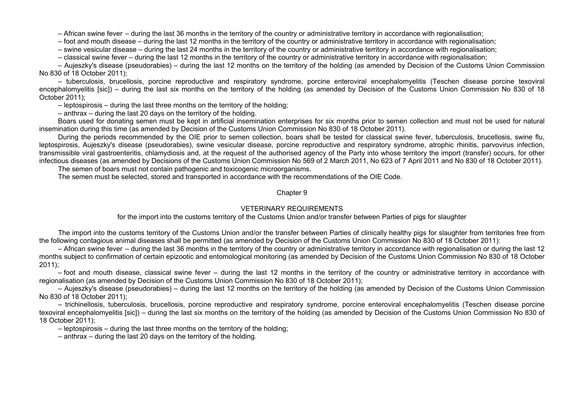– African swine fever – during the last 36 months in the territory of the country or administrative territory in accordance with regionalisation;

– foot and mouth disease – during the last 12 months in the territory of the country or administrative territory in accordance with regionalisation;

– swine vesicular disease – during the last 24 months in the territory of the country or administrative territory in accordance with regionalisation;

– classical swine fever – during the last 12 months in the territory of the country or administrative territory in accordance with regionalisation;

– Aujeszky's disease (pseudorabies) – during the last 12 months on the territory of the holding (as amended by Decision of the Customs Union Commission No 830 of 18 October 2011);

– tuberculosis, brucellosis, porcine reproductive and respiratory syndrome, porcine enteroviral encephalomyelitis (Teschen disease porcine texoviral encephalomyelitis [sic]) – during the last six months on the territory of the holding (as amended by Decision of the Customs Union Commission No 830 of 18 October 2011);

– leptospirosis – during the last three months on the territory of the holding;

– anthrax – during the last 20 days on the territory of the holding.

Boars used for donating semen must be kept in artificial insemination enterprises for six months prior to semen collection and must not be used for natural insemination during this time (as amended by Decision of the Customs Union Commission No 830 of 18 October 2011).

During the periods recommended by the OIE prior to semen collection, boars shall be tested for classical swine fever, tuberculosis, brucellosis, swine flu, leptospirosis, Aujeszky's disease (pseudorabies), swine vesicular disease, porcine reproductive and respiratory syndrome, atrophic rhinitis, parvovirus infection, transmissible viral gastroenteritis, chlamydiosis and, at the request of the authorised agency of the Party into whose territory the import (transfer) occurs, for other infectious diseases (as amended by Decisions of the Customs Union Commission No 569 of 2 March 2011, No 623 of 7 April 2011 and No 830 of 18 October 2011).

The semen of boars must not contain pathogenic and toxicogenic microorganisms.

The semen must be selected, stored and transported in accordance with the recommendations of the OIE Code.

#### Chapter 9

#### VETERINARY REQUIREMENTS

for the import into the customs territory of the Customs Union and/or transfer between Parties of pigs for slaughter

The import into the customs territory of the Customs Union and/or the transfer between Parties of clinically healthy pigs for slaughter from territories free from the following contagious animal diseases shall be permitted (as amended by Decision of the Customs Union Commission No 830 of 18 October 2011):

– African swine fever – during the last 36 months in the territory of the country or administrative territory in accordance with regionalisation or during the last 12 months subject to confirmation of certain epizootic and entomological monitoring (as amended by Decision of the Customs Union Commission No 830 of 18 October 2011);

– foot and mouth disease, classical swine fever – during the last 12 months in the territory of the country or administrative territory in accordance with regionalisation (as amended by Decision of the Customs Union Commission No 830 of 18 October 2011);

– Aujeszky's disease (pseudorabies) – during the last 12 months on the territory of the holding (as amended by Decision of the Customs Union Commission No 830 of 18 October 2011);

– trichinellosis, tuberculosis, brucellosis, porcine reproductive and respiratory syndrome, porcine enteroviral encephalomyelitis (Teschen disease porcine texoviral encephalomyelitis [sic]) – during the last six months on the territory of the holding (as amended by Decision of the Customs Union Commission No 830 of 18 October 2011);

– leptospirosis – during the last three months on the territory of the holding;

– anthrax – during the last 20 days on the territory of the holding.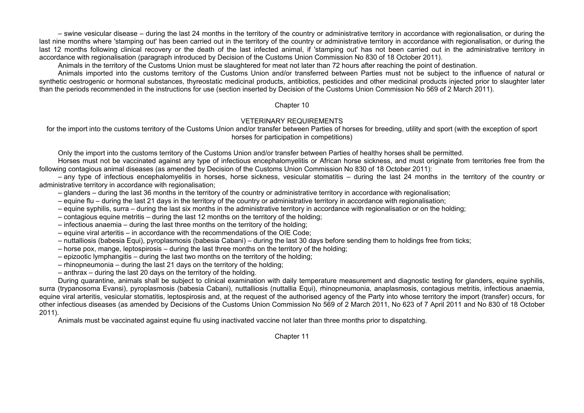– swine vesicular disease – during the last 24 months in the territory of the country or administrative territory in accordance with regionalisation, or during the last nine months where 'stamping out' has been carried out in the territory of the country or administrative territory in accordance with regionalisation, or during the last 12 months following clinical recovery or the death of the last infected animal, if 'stamping out' has not been carried out in the administrative territory in accordance with regionalisation (paragraph introduced by Decision of the Customs Union Commission No 830 of 18 October 2011).

Animals in the territory of the Customs Union must be slaughtered for meat not later than 72 hours after reaching the point of destination.

Animals imported into the customs territory of the Customs Union and/or transferred between Parties must not be subject to the influence of natural or synthetic oestrogenic or hormonal substances, thyreostatic medicinal products, antibiotics, pesticides and other medicinal products injected prior to slaughter later than the periods recommended in the instructions for use (section inserted by Decision of the Customs Union Commission No 569 of 2 March 2011).

### Chapter 10

## VETERINARY REQUIREMENTS

for the import into the customs territory of the Customs Union and/or transfer between Parties of horses for breeding, utility and sport (with the exception of sport horses for participation in competitions)

Only the import into the customs territory of the Customs Union and/or transfer between Parties of healthy horses shall be permitted.

Horses must not be vaccinated against any type of infectious encephalomyelitis or African horse sickness, and must originate from territories free from the following contagious animal diseases (as amended by Decision of the Customs Union Commission No 830 of 18 October 2011):

– any type of infectious encephalomyelitis in horses, horse sickness, vesicular stomatitis – during the last 24 months in the territory of the country or administrative territory in accordance with regionalisation;

- glanders during the last 36 months in the territory of the country or administrative territory in accordance with regionalisation;
- equine flu during the last 21 days in the territory of the country or administrative territory in accordance with regionalisation;
- equine syphilis, surra during the last six months in the administrative territory in accordance with regionalisation or on the holding;
- contagious equine metritis during the last 12 months on the territory of the holding;
- infectious anaemia during the last three months on the territory of the holding;
- equine viral arteritis in accordance with the recommendations of the OIE Code;
- nuttalliosis (babesia Equi), pyroplasmosis (babesia Cabani) during the last 30 days before sending them to holdings free from ticks;
- horse pox, mange, leptospirosis during the last three months on the territory of the holding;
- epizootic lymphangitis during the last two months on the territory of the holding;
- rhinopneumonia during the last 21 days on the territory of the holding;
- anthrax during the last 20 days on the territory of the holding.

During quarantine, animals shall be subject to clinical examination with daily temperature measurement and diagnostic testing for glanders, equine syphilis, surra (trypanosoma Evansi), pyroplasmosis (babesia Cabani), nuttalliosis (nuttallia Equi), rhinopneumonia, anaplasmosis, contagious metritis, infectious anaemia, equine viral arteritis, vesicular stomatitis, leptospirosis and, at the request of the authorised agency of the Party into whose territory the import (transfer) occurs, for other infectious diseases (as amended by Decisions of the Customs Union Commission No 569 of 2 March 2011, No 623 of 7 April 2011 and No 830 of 18 October 2011).

Animals must be vaccinated against equine flu using inactivated vaccine not later than three months prior to dispatching.

Chapter 11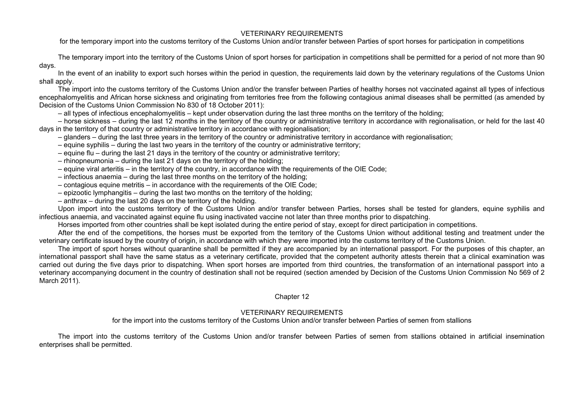### VETERINARY REQUIREMENTS

for the temporary import into the customs territory of the Customs Union and/or transfer between Parties of sport horses for participation in competitions

The temporary import into the territory of the Customs Union of sport horses for participation in competitions shall be permitted for a period of not more than 90 days.

In the event of an inability to export such horses within the period in question, the requirements laid down by the veterinary regulations of the Customs Union shall apply.

The import into the customs territory of the Customs Union and/or the transfer between Parties of healthy horses not vaccinated against all types of infectious encephalomyelitis and African horse sickness and originating from territories free from the following contagious animal diseases shall be permitted (as amended by Decision of the Customs Union Commission No 830 of 18 October 2011):

– all types of infectious encephalomyelitis – kept under observation during the last three months on the territory of the holding;

– horse sickness – during the last 12 months in the territory of the country or administrative territory in accordance with regionalisation, or held for the last 40 days in the territory of that country or administrative territory in accordance with regionalisation;

- glanders during the last three years in the territory of the country or administrative territory in accordance with regionalisation;
- equine syphilis during the last two years in the territory of the country or administrative territory;
- equine flu during the last 21 days in the territory of the country or administrative territory;
- rhinopneumonia during the last 21 days on the territory of the holding;
- equine viral arteritis in the territory of the country, in accordance with the requirements of the OIE Code;
- infectious anaemia during the last three months on the territory of the holding;
- contagious equine metritis in accordance with the requirements of the OIE Code;
- epizootic lymphangitis during the last two months on the territory of the holding;
- anthrax during the last 20 days on the territory of the holding.

Upon import into the customs territory of the Customs Union and/or transfer between Parties, horses shall be tested for glanders, equine syphilis and infectious anaemia, and vaccinated against equine flu using inactivated vaccine not later than three months prior to dispatching.

Horses imported from other countries shall be kept isolated during the entire period of stay, except for direct participation in competitions.

After the end of the competitions, the horses must be exported from the territory of the Customs Union without additional testing and treatment under the veterinary certificate issued by the country of origin, in accordance with which they were imported into the customs territory of the Customs Union.

The import of sport horses without quarantine shall be permitted if they are accompanied by an international passport. For the purposes of this chapter, an international passport shall have the same status as a veterinary certificate, provided that the competent authority attests therein that a clinical examination was carried out during the five days prior to dispatching. When sport horses are imported from third countries, the transformation of an international passport into a veterinary accompanying document in the country of destination shall not be required (section amended by Decision of the Customs Union Commission No 569 of 2 March 2011).

## Chapter 12

# VETERINARY REQUIREMENTS

for the import into the customs territory of the Customs Union and/or transfer between Parties of semen from stallions

The import into the customs territory of the Customs Union and/or transfer between Parties of semen from stallions obtained in artificial insemination enterprises shall be permitted.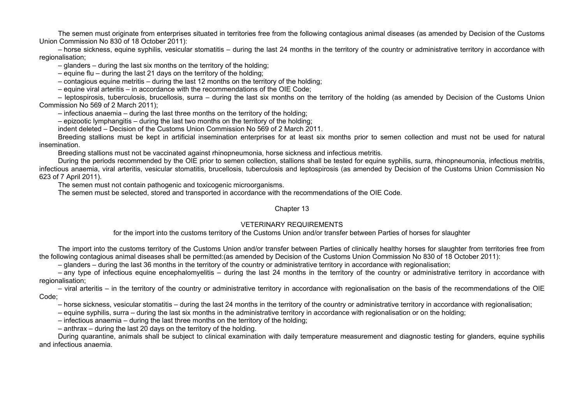The semen must originate from enterprises situated in territories free from the following contagious animal diseases (as amended by Decision of the Customs Union Commission No 830 of 18 October 2011):

– horse sickness, equine syphilis, vesicular stomatitis – during the last 24 months in the territory of the country or administrative territory in accordance with regionalisation;

– glanders – during the last six months on the territory of the holding;

– equine flu – during the last 21 days on the territory of the holding;

– contagious equine metritis – during the last 12 months on the territory of the holding;

– equine viral arteritis – in accordance with the recommendations of the OIE Code;

– leptospirosis, tuberculosis, brucellosis, surra – during the last six months on the territory of the holding (as amended by Decision of the Customs Union Commission No 569 of 2 March 2011);

– infectious anaemia – during the last three months on the territory of the holding;

– epizootic lymphangitis – during the last two months on the territory of the holding;

indent deleted – Decision of the Customs Union Commission No 569 of 2 March 2011.

Breeding stallions must be kept in artificial insemination enterprises for at least six months prior to semen collection and must not be used for natural insemination.

Breeding stallions must not be vaccinated against rhinopneumonia, horse sickness and infectious metritis.

During the periods recommended by the OIE prior to semen collection, stallions shall be tested for equine syphilis, surra, rhinopneumonia, infectious metritis, infectious anaemia, viral arteritis, vesicular stomatitis, brucellosis, tuberculosis and leptospirosis (as amended by Decision of the Customs Union Commission No 623 of 7 April 2011).

The semen must not contain pathogenic and toxicogenic microorganisms.

The semen must be selected, stored and transported in accordance with the recommendations of the OIE Code.

#### Chapter 13

### VETERINARY REQUIREMENTS

for the import into the customs territory of the Customs Union and/or transfer between Parties of horses for slaughter

The import into the customs territory of the Customs Union and/or transfer between Parties of clinically healthy horses for slaughter from territories free from the following contagious animal diseases shall be permitted:(as amended by Decision of the Customs Union Commission No 830 of 18 October 2011):

– glanders – during the last 36 months in the territory of the country or administrative territory in accordance with regionalisation;

– any type of infectious equine encephalomyelitis – during the last 24 months in the territory of the country or administrative territory in accordance with regionalisation;

– viral arteritis – in the territory of the country or administrative territory in accordance with regionalisation on the basis of the recommendations of the OIE Code;

– horse sickness, vesicular stomatitis – during the last 24 months in the territory of the country or administrative territory in accordance with regionalisation;

– equine syphilis, surra – during the last six months in the administrative territory in accordance with regionalisation or on the holding;

– infectious anaemia – during the last three months on the territory of the holding;

– anthrax – during the last 20 days on the territory of the holding.

During quarantine, animals shall be subject to clinical examination with daily temperature measurement and diagnostic testing for glanders, equine syphilis and infectious anaemia.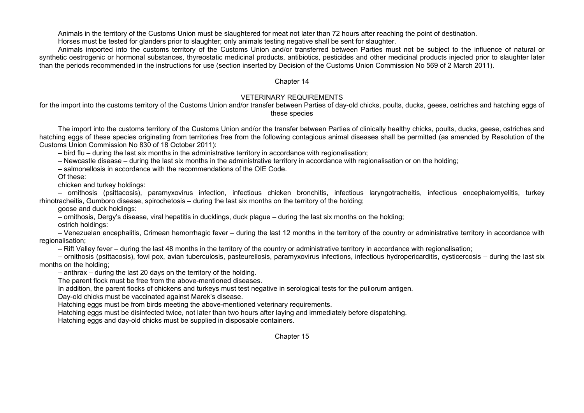Animals in the territory of the Customs Union must be slaughtered for meat not later than 72 hours after reaching the point of destination.

Horses must be tested for glanders prior to slaughter; only animals testing negative shall be sent for slaughter.

Animals imported into the customs territory of the Customs Union and/or transferred between Parties must not be subject to the influence of natural or synthetic oestrogenic or hormonal substances, thyreostatic medicinal products, antibiotics, pesticides and other medicinal products injected prior to slaughter later than the periods recommended in the instructions for use (section inserted by Decision of the Customs Union Commission No 569 of 2 March 2011).

### Chapter 14

## VETERINARY REQUIREMENTS

for the import into the customs territory of the Customs Union and/or transfer between Parties of day-old chicks, poults, ducks, geese, ostriches and hatching eggs of these species

The import into the customs territory of the Customs Union and/or the transfer between Parties of clinically healthy chicks, poults, ducks, geese, ostriches and hatching eggs of these species originating from territories free from the following contagious animal diseases shall be permitted (as amended by Resolution of the Customs Union Commission No 830 of 18 October 2011):

– bird flu – during the last six months in the administrative territory in accordance with regionalisation;

– Newcastle disease – during the last six months in the administrative territory in accordance with regionalisation or on the holding;

– salmonellosis in accordance with the recommendations of the OIE Code.

Of these:

chicken and turkey holdings:

– ornithosis (psittacosis), paramyxovirus infection, infectious chicken bronchitis, infectious laryngotracheitis, infectious encephalomyelitis, turkey rhinotracheitis, Gumboro disease, spirochetosis – during the last six months on the territory of the holding;

goose and duck holdings:

– ornithosis, Dergy's disease, viral hepatitis in ducklings, duck plague – during the last six months on the holding;

ostrich holdings:

– Venezuelan encephalitis, Crimean hemorrhagic fever – during the last 12 months in the territory of the country or administrative territory in accordance with regionalisation;

– Rift Valley fever – during the last 48 months in the territory of the country or administrative territory in accordance with regionalisation;

– ornithosis (psittacosis), fowl pox, avian tuberculosis, pasteurellosis, paramyxovirus infections, infectious hydropericarditis, cysticercosis – during the last six months on the holding;

– anthrax – during the last 20 days on the territory of the holding.

The parent flock must be free from the above-mentioned diseases.

In addition, the parent flocks of chickens and turkeys must test negative in serological tests for the pullorum antigen.

Day-old chicks must be vaccinated against Marek's disease.

Hatching eggs must be from birds meeting the above-mentioned veterinary requirements.

Hatching eggs must be disinfected twice, not later than two hours after laying and immediately before dispatching.

Hatching eggs and day-old chicks must be supplied in disposable containers.

Chapter 15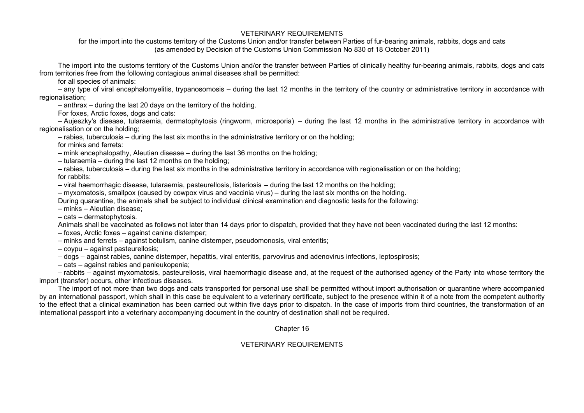## VETERINARY REQUIREMENTS

for the import into the customs territory of the Customs Union and/or transfer between Parties of fur-bearing animals, rabbits, dogs and cats (as amended by Decision of the Customs Union Commission No 830 of 18 October 2011)

The import into the customs territory of the Customs Union and/or the transfer between Parties of clinically healthy fur-bearing animals, rabbits, dogs and cats from territories free from the following contagious animal diseases shall be permitted:

for all species of animals:

– any type of viral encephalomyelitis, trypanosomosis – during the last 12 months in the territory of the country or administrative territory in accordance with regionalisation;

– anthrax – during the last 20 days on the territory of the holding.

For foxes, Arctic foxes, dogs and cats:

– Aujeszky's disease, tularaemia, dermatophytosis (ringworm, microsporia) – during the last 12 months in the administrative territory in accordance with regionalisation or on the holding;

– rabies, tuberculosis – during the last six months in the administrative territory or on the holding;

for minks and ferrets:

– mink encephalopathy, Aleutian disease – during the last 36 months on the holding;

– tularaemia – during the last 12 months on the holding;

– rabies, tuberculosis – during the last six months in the administrative territory in accordance with regionalisation or on the holding; for rabbits:

– viral haemorrhagic disease, tularaemia, pasteurellosis, listeriosis – during the last 12 months on the holding;

– myxomatosis, smallpox (caused by cowpox virus and vaccinia virus) – during the last six months on the holding.

During quarantine, the animals shall be subject to individual clinical examination and diagnostic tests for the following:

– minks – Aleutian disease;

– cats – dermatophytosis.

Animals shall be vaccinated as follows not later than 14 days prior to dispatch, provided that they have not been vaccinated during the last 12 months:

- foxes, Arctic foxes against canine distemper;
- minks and ferrets against botulism, canine distemper, pseudomonosis, viral enteritis;
- coypu against pasteurellosis;
- dogs against rabies, canine distemper, hepatitis, viral enteritis, parvovirus and adenovirus infections, leptospirosis;

– cats – against rabies and panleukopenia;

– rabbits – against myxomatosis, pasteurellosis, viral haemorrhagic disease and, at the request of the authorised agency of the Party into whose territory the import (transfer) occurs, other infectious diseases.

The import of not more than two dogs and cats transported for personal use shall be permitted without import authorisation or quarantine where accompanied by an international passport, which shall in this case be equivalent to a veterinary certificate, subject to the presence within it of a note from the competent authority to the effect that a clinical examination has been carried out within five days prior to dispatch. In the case of imports from third countries, the transformation of an international passport into a veterinary accompanying document in the country of destination shall not be required.

Chapter 16

# VETERINARY REQUIREMENTS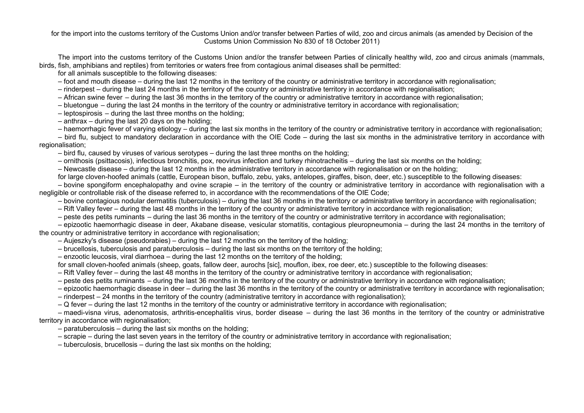for the import into the customs territory of the Customs Union and/or transfer between Parties of wild, zoo and circus animals (as amended by Decision of the Customs Union Commission No 830 of 18 October 2011)

The import into the customs territory of the Customs Union and/or the transfer between Parties of clinically healthy wild, zoo and circus animals (mammals, birds, fish, amphibians and reptiles) from territories or waters free from contagious animal diseases shall be permitted:

for all animals susceptible to the following diseases:

– foot and mouth disease – during the last 12 months in the territory of the country or administrative territory in accordance with regionalisation;

– rinderpest – during the last 24 months in the territory of the country or administrative territory in accordance with regionalisation;

– African swine fever – during the last 36 months in the territory of the country or administrative territory in accordance with regionalisation;

– bluetongue – during the last 24 months in the territory of the country or administrative territory in accordance with regionalisation;

– leptospirosis – during the last three months on the holding;

– anthrax – during the last 20 days on the holding;

– haemorrhagic fever of varying etiology – during the last six months in the territory of the country or administrative territory in accordance with regionalisation;

– bird flu, subject to mandatory declaration in accordance with the OIE Code – during the last six months in the administrative territory in accordance with regionalisation;

– bird flu, caused by viruses of various serotypes – during the last three months on the holding;

– ornithosis (psittacosis), infectious bronchitis, pox, reovirus infection and turkey rhinotracheitis – during the last six months on the holding;

– Newcastle disease – during the last 12 months in the administrative territory in accordance with regionalisation or on the holding;

for large cloven-hoofed animals (cattle, European bison, buffalo, zebu, yaks, antelopes, giraffes, bison, deer, etc.) susceptible to the following diseases:

– bovine spongiform encephalopathy and ovine scrapie – in the territory of the country or administrative territory in accordance with regionalisation with a negligible or controllable risk of the disease referred to, in accordance with the recommendations of the OIE Code;

– bovine contagious nodular dermatitis (tuberculosis) – during the last 36 months in the territory or administrative territory in accordance with regionalisation;

– Rift Valley fever – during the last 48 months in the territory of the country or administrative territory in accordance with regionalisation;

– peste des petits ruminants – during the last 36 months in the territory of the country or administrative territory in accordance with regionalisation;

– epizootic haemorrhagic disease in deer, Akabane disease, vesicular stomatitis, contagious pleuropneumonia – during the last 24 months in the territory of the country or administrative territory in accordance with regionalisation;

- Aujeszky's disease (pseudorabies) during the last 12 months on the territory of the holding;
- brucellosis, tuberculosis and paratuberculosis during the last six months on the territory of the holding;
- enzootic leucosis, viral diarrhoea during the last 12 months on the territory of the holding;

for small cloven-hoofed animals (sheep, goats, fallow deer, aurochs [sic], mouflon, ibex, roe deer, etc.) susceptible to the following diseases:

– Rift Valley fever – during the last 48 months in the territory of the country or administrative territory in accordance with regionalisation;

– peste des petits ruminants – during the last 36 months in the territory of the country or administrative territory in accordance with regionalisation;

– epizootic haemorrhagic disease in deer – during the last 36 months in the territory of the country or administrative territory in accordance with regionalisation;

– rinderpest – 24 months in the territory of the country (administrative territory in accordance with regionalisation);

– Q fever – during the last 12 months in the territory of the country or administrative territory in accordance with regionalisation;

– maedi-visna virus, adenomatosis, arthritis-encephalitis virus, border disease – during the last 36 months in the territory of the country or administrative territory in accordance with regionalisation;

- paratuberculosis during the last six months on the holding;
- scrapie during the last seven years in the territory of the country or administrative territory in accordance with regionalisation;

– tuberculosis, brucellosis – during the last six months on the holding;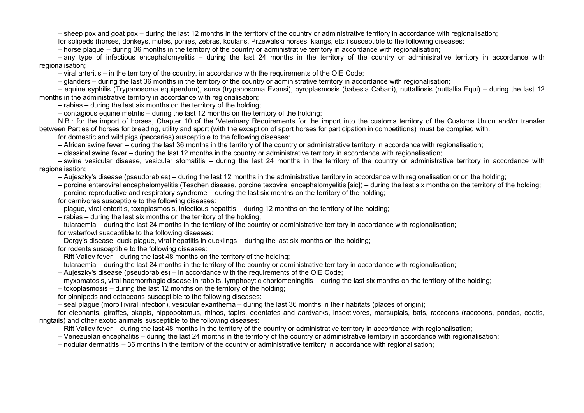– sheep pox and goat pox – during the last 12 months in the territory of the country or administrative territory in accordance with regionalisation;

for solipeds (horses, donkeys, mules, ponies, zebras, koulans, Przewalski horses, kiangs, etc.) susceptible to the following diseases:

– horse plague – during 36 months in the territory of the country or administrative territory in accordance with regionalisation;

– any type of infectious encephalomyelitis – during the last 24 months in the territory of the country or administrative territory in accordance with regionalisation;

– viral arteritis – in the territory of the country, in accordance with the requirements of the OIE Code;

– glanders – during the last 36 months in the territory of the country or administrative territory in accordance with regionalisation;

– equine syphilis (Trypanosoma equiperdum), surra (trypanosoma Evansi), pyroplasmosis (babesia Cabani), nuttalliosis (nuttallia Equi) – during the last 12 months in the administrative territory in accordance with regionalisation;

– rabies – during the last six months on the territory of the holding;

– contagious equine metritis – during the last 12 months on the territory of the holding;

N.B.: for the import of horses, Chapter 10 of the 'Veterinary Requirements for the import into the customs territory of the Customs Union and/or transfer between Parties of horses for breeding, utility and sport (with the exception of sport horses for participation in competitions)' must be complied with.

for domestic and wild pigs (peccaries) susceptible to the following diseases:

– African swine fever – during the last 36 months in the territory of the country or administrative territory in accordance with regionalisation;

– classical swine fever – during the last 12 months in the country or administrative territory in accordance with regionalisation;

– swine vesicular disease, vesicular stomatitis – during the last 24 months in the territory of the country or administrative territory in accordance with regionalisation;

– Aujeszky's disease (pseudorabies) – during the last 12 months in the administrative territory in accordance with regionalisation or on the holding;

– porcine enteroviral encephalomyelitis (Teschen disease, porcine texoviral encephalomyelitis [sic]) – during the last six months on the territory of the holding;

– porcine reproductive and respiratory syndrome – during the last six months on the territory of the holding;

for carnivores susceptible to the following diseases:

– plague, viral enteritis, toxoplasmosis, infectious hepatitis – during 12 months on the territory of the holding;

– rabies – during the last six months on the territory of the holding;

– tularaemia – during the last 24 months in the territory of the country or administrative territory in accordance with regionalisation;

for waterfowl susceptible to the following diseases:

– Dergy's disease, duck plague, viral hepatitis in ducklings – during the last six months on the holding;

for rodents susceptible to the following diseases:

- Rift Valley fever during the last 48 months on the territory of the holding;
- tularaemia during the last 24 months in the territory of the country or administrative territory in accordance with regionalisation;
- Aujeszky's disease (pseudorabies) in accordance with the requirements of the OIE Code;
- myxomatosis, viral haemorrhagic disease in rabbits, lymphocytic choriomeningitis during the last six months on the territory of the holding;

– toxoplasmosis – during the last 12 months on the territory of the holding;

for pinnipeds and cetaceans susceptible to the following diseases:

– seal plague (morbilliviral infection), vesicular exanthema – during the last 36 months in their habitats (places of origin);

for elephants, giraffes, okapis, hippopotamus, rhinos, tapirs, edentates and aardvarks, insectivores, marsupials, bats, raccoons (raccoons, pandas, coatis, ringtails) and other exotic animals susceptible to the following diseases:

– Rift Valley fever – during the last 48 months in the territory of the country or administrative territory in accordance with regionalisation;

– Venezuelan encephalitis – during the last 24 months in the territory of the country or administrative territory in accordance with regionalisation;

– nodular dermatitis – 36 months in the territory of the country or administrative territory in accordance with regionalisation;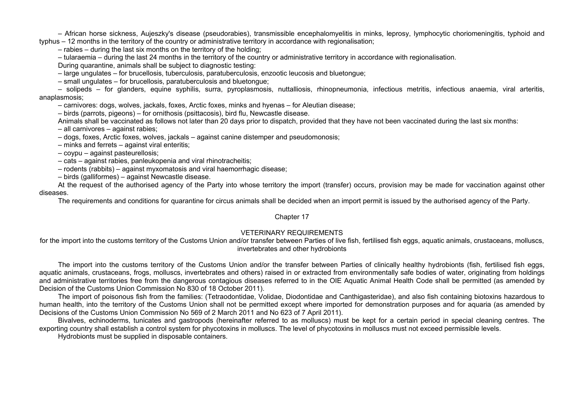– African horse sickness, Aujeszky's disease (pseudorabies), transmissible encephalomyelitis in minks, leprosy, lymphocytic choriomeningitis, typhoid and typhus – 12 months in the territory of the country or administrative territory in accordance with regionalisation;

– rabies – during the last six months on the territory of the holding;

– tularaemia – during the last 24 months in the territory of the country or administrative territory in accordance with regionalisation.

During quarantine, animals shall be subject to diagnostic testing:

– large ungulates – for brucellosis, tuberculosis, paratuberculosis, enzootic leucosis and bluetongue;

– small ungulates – for brucellosis, paratuberculosis and bluetongue;

– solipeds – for glanders, equine syphilis, surra, pyroplasmosis, nuttalliosis, rhinopneumonia, infectious metritis, infectious anaemia, viral arteritis, anaplasmosis;

– carnivores: dogs, wolves, jackals, foxes, Arctic foxes, minks and hyenas – for Aleutian disease;

– birds (parrots, pigeons) – for ornithosis (psittacosis), bird flu, Newcastle disease.

Animals shall be vaccinated as follows not later than 20 days prior to dispatch, provided that they have not been vaccinated during the last six months:

– all carnivores – against rabies;

- dogs, foxes, Arctic foxes, wolves, jackals against canine distemper and pseudomonosis;
- minks and ferrets against viral enteritis;
- coypu against pasteurellosis;
- cats against rabies, panleukopenia and viral rhinotracheitis;
- rodents (rabbits) against myxomatosis and viral haemorrhagic disease;
- birds (galliformes) against Newcastle disease.

At the request of the authorised agency of the Party into whose territory the import (transfer) occurs, provision may be made for vaccination against other diseases.

The requirements and conditions for quarantine for circus animals shall be decided when an import permit is issued by the authorised agency of the Party.

#### Chapter 17

## VETERINARY REQUIREMENTS

for the import into the customs territory of the Customs Union and/or transfer between Parties of live fish, fertilised fish eggs, aquatic animals, crustaceans, molluscs, invertebrates and other hydrobionts

The import into the customs territory of the Customs Union and/or the transfer between Parties of clinically healthy hydrobionts (fish, fertilised fish eggs, aquatic animals, crustaceans, frogs, molluscs, invertebrates and others) raised in or extracted from environmentally safe bodies of water, originating from holdings and administrative territories free from the dangerous contagious diseases referred to in the OIE Aquatic Animal Health Code shall be permitted (as amended by Decision of the Customs Union Commission No 830 of 18 October 2011).

The import of poisonous fish from the families: (Tetraodontidae, Volidae, Diodontidae and Canthigasteridae), and also fish containing biotoxins hazardous to human health, into the territory of the Customs Union shall not be permitted except where imported for demonstration purposes and for aquaria (as amended by Decisions of the Customs Union Commission No 569 of 2 March 2011 and No 623 of 7 April 2011).

Bivalves, echinoderms, tunicates and gastropods (hereinafter referred to as molluscs) must be kept for a certain period in special cleaning centres. The exporting country shall establish a control system for phycotoxins in molluscs. The level of phycotoxins in molluscs must not exceed permissible levels.

Hydrobionts must be supplied in disposable containers.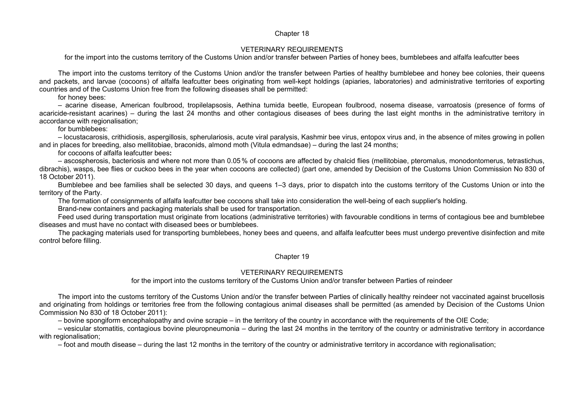#### Chapter 18

#### VETERINARY REQUIREMENTS

for the import into the customs territory of the Customs Union and/or transfer between Parties of honey bees, bumblebees and alfalfa leafcutter bees

The import into the customs territory of the Customs Union and/or the transfer between Parties of healthy bumblebee and honey bee colonies, their queens and packets, and larvae (cocoons) of alfalfa leafcutter bees originating from well-kept holdings (apiaries, laboratories) and administrative territories of exporting countries and of the Customs Union free from the following diseases shall be permitted:

for honey bees:

– acarine disease, American foulbrood, tropilelapsosis, Aethina tumida beetle, European foulbrood, nosema disease, varroatosis (presence of forms of acaricide-resistant acarines) – during the last 24 months and other contagious diseases of bees during the last eight months in the administrative territory in accordance with regionalisation;

for bumblebees:

– locustacarosis, crithidiosis, aspergillosis, spherulariosis, acute viral paralysis, Kashmir bee virus, entopox virus and, in the absence of mites growing in pollen and in places for breeding, also mellitobiae, braconids, almond moth (Vitula edmandsae) – during the last 24 months;

for cocoons of alfalfa leafcutter bees**:**

– ascospherosis, bacteriosis and where not more than 0.05 % of cocoons are affected by chalcid flies (mellitobiae, pteromalus, monodontomerus, tetrastichus, dibrachis), wasps, bee flies or cuckoo bees in the year when cocoons are collected) (part one, amended by Decision of the Customs Union Commission No 830 of 18 October 2011).

Bumblebee and bee families shall be selected 30 days, and queens 1–3 days, prior to dispatch into the customs territory of the Customs Union or into the territory of the Party.

The formation of consignments of alfalfa leafcutter bee cocoons shall take into consideration the well-being of each supplier's holding.

Brand-new containers and packaging materials shall be used for transportation.

Feed used during transportation must originate from locations (administrative territories) with favourable conditions in terms of contagious bee and bumblebee diseases and must have no contact with diseased bees or bumblebees.

The packaging materials used for transporting bumblebees, honey bees and queens, and alfalfa leafcutter bees must undergo preventive disinfection and mite control before filling.

#### Chapter 19

#### VETERINARY REQUIREMENTS

for the import into the customs territory of the Customs Union and/or transfer between Parties of reindeer

The import into the customs territory of the Customs Union and/or the transfer between Parties of clinically healthy reindeer not vaccinated against brucellosis and originating from holdings or territories free from the following contagious animal diseases shall be permitted (as amended by Decision of the Customs Union Commission No 830 of 18 October 2011):

– bovine spongiform encephalopathy and ovine scrapie – in the territory of the country in accordance with the requirements of the OIE Code;

– vesicular stomatitis, contagious bovine pleuropneumonia – during the last 24 months in the territory of the country or administrative territory in accordance with regionalisation;

– foot and mouth disease – during the last 12 months in the territory of the country or administrative territory in accordance with regionalisation;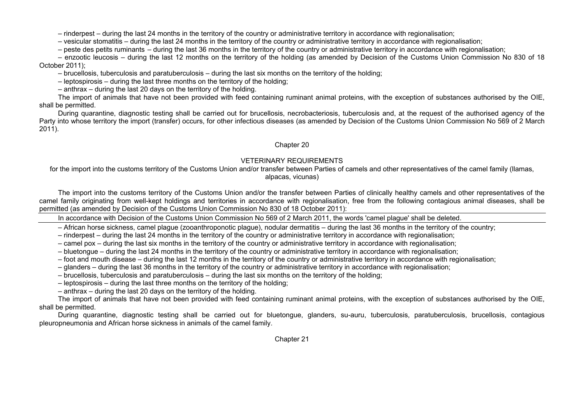– rinderpest – during the last 24 months in the territory of the country or administrative territory in accordance with regionalisation;

– vesicular stomatitis – during the last 24 months in the territory of the country or administrative territory in accordance with regionalisation;

– peste des petits ruminants – during the last 36 months in the territory of the country or administrative territory in accordance with regionalisation;

– enzootic leucosis – during the last 12 months on the territory of the holding (as amended by Decision of the Customs Union Commission No 830 of 18 October 2011);

– brucellosis, tuberculosis and paratuberculosis – during the last six months on the territory of the holding;

– leptospirosis – during the last three months on the territory of the holding;

– anthrax – during the last 20 days on the territory of the holding.

The import of animals that have not been provided with feed containing ruminant animal proteins, with the exception of substances authorised by the OIE, shall be permitted.

During quarantine, diagnostic testing shall be carried out for brucellosis, necrobacteriosis, tuberculosis and, at the request of the authorised agency of the Party into whose territory the import (transfer) occurs, for other infectious diseases (as amended by Decision of the Customs Union Commission No 569 of 2 March 2011).

### Chapter 20

# VETERINARY REQUIREMENTS

for the import into the customs territory of the Customs Union and/or transfer between Parties of camels and other representatives of the camel family (llamas, alpacas, vicunas)

The import into the customs territory of the Customs Union and/or the transfer between Parties of clinically healthy camels and other representatives of the camel family originating from well-kept holdings and territories in accordance with regionalisation, free from the following contagious animal diseases, shall be permitted (as amended by Decision of the Customs Union Commission No 830 of 18 October 2011):

In accordance with Decision of the Customs Union Commission No 569 of 2 March 2011, the words 'camel plague' shall be deleted.

– African horse sickness, camel plague (zooanthroponotic plague), nodular dermatitis – during the last 36 months in the territory of the country;

– rinderpest – during the last 24 months in the territory of the country or administrative territory in accordance with regionalisation;

– camel pox – during the last six months in the territory of the country or administrative territory in accordance with regionalisation;

- bluetongue during the last 24 months in the territory of the country or administrative territory in accordance with regionalisation;
- foot and mouth disease during the last 12 months in the territory of the country or administrative territory in accordance with regionalisation;
- glanders during the last 36 months in the territory of the country or administrative territory in accordance with regionalisation;

– brucellosis, tuberculosis and paratuberculosis – during the last six months on the territory of the holding;

– leptospirosis – during the last three months on the territory of the holding;

– anthrax – during the last 20 days on the territory of the holding.

The import of animals that have not been provided with feed containing ruminant animal proteins, with the exception of substances authorised by the OIE, shall be permitted.

During quarantine, diagnostic testing shall be carried out for bluetongue, glanders, su-auru, tuberculosis, paratuberculosis, brucellosis, contagious pleuropneumonia and African horse sickness in animals of the camel family.

Chapter 21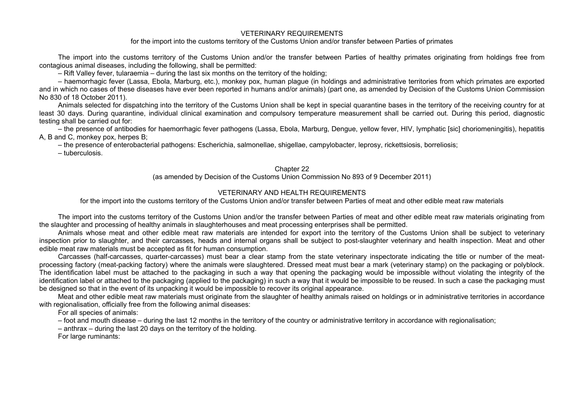### VETERINARY REQUIREMENTS

for the import into the customs territory of the Customs Union and/or transfer between Parties of primates

The import into the customs territory of the Customs Union and/or the transfer between Parties of healthy primates originating from holdings free from contagious animal diseases, including the following, shall be permitted:

– Rift Valley fever, tularaemia – during the last six months on the territory of the holding;

– haemorrhagic fever (Lassa, Ebola, Marburg, etc.), monkey pox, human plague (in holdings and administrative territories from which primates are exported and in which no cases of these diseases have ever been reported in humans and/or animals) (part one, as amended by Decision of the Customs Union Commission No 830 of 18 October 2011).

Animals selected for dispatching into the territory of the Customs Union shall be kept in special quarantine bases in the territory of the receiving country for at least 30 days. During quarantine, individual clinical examination and compulsory temperature measurement shall be carried out. During this period, diagnostic testing shall be carried out for:

– the presence of antibodies for haemorrhagic fever pathogens (Lassa, Ebola, Marburg, Dengue, yellow fever, HIV, lymphatic [sic] choriomeningitis), hepatitis A, B and C, monkey pox, herpes B;

– the presence of enterobacterial pathogens: Escherichia, salmonellae, shigellae, campylobacter, leprosy, rickettsiosis, borreliosis;

– tuberculosis.

### Chapter 22

(as amended by Decision of the Customs Union Commission No 893 of 9 December 2011)

## VETERINARY AND HEALTH REQUIREMENTS

for the import into the customs territory of the Customs Union and/or transfer between Parties of meat and other edible meat raw materials

The import into the customs territory of the Customs Union and/or the transfer between Parties of meat and other edible meat raw materials originating from the slaughter and processing of healthy animals in slaughterhouses and meat processing enterprises shall be permitted.

Animals whose meat and other edible meat raw materials are intended for export into the territory of the Customs Union shall be subject to veterinary inspection prior to slaughter, and their carcasses, heads and internal organs shall be subject to post-slaughter veterinary and health inspection. Meat and other edible meat raw materials must be accepted as fit for human consumption.

Carcasses (half-carcasses, quarter-carcasses) must bear a clear stamp from the state veterinary inspectorate indicating the title or number of the meatprocessing factory (meat-packing factory) where the animals were slaughtered. Dressed meat must bear a mark (veterinary stamp) on the packaging or polyblock. The identification label must be attached to the packaging in such a way that opening the packaging would be impossible without violating the integrity of the identification label or attached to the packaging (applied to the packaging) in such a way that it would be impossible to be reused. In such a case the packaging must be designed so that in the event of its unpacking it would be impossible to recover its original appearance.

Meat and other edible meat raw materials must originate from the slaughter of healthy animals raised on holdings or in administrative territories in accordance with regionalisation, officially free from the following animal diseases:

For all species of animals:

– foot and mouth disease – during the last 12 months in the territory of the country or administrative territory in accordance with regionalisation;

– anthrax – during the last 20 days on the territory of the holding.

For large ruminants: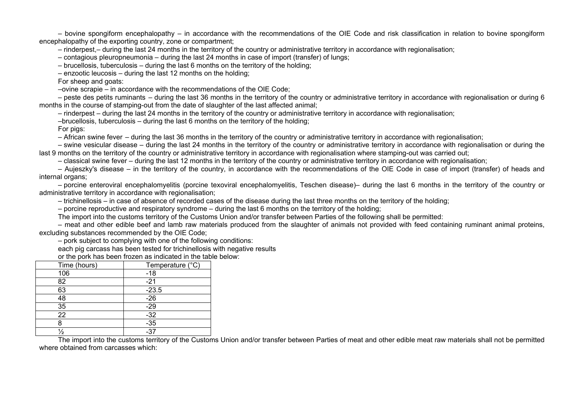– bovine spongiform encephalopathy – in accordance with the recommendations of the OIE Code and risk classification in relation to bovine spongiform encephalopathy of the exporting country, zone or compartment;

– rinderpest,– during the last 24 months in the territory of the country or administrative territory in accordance with regionalisation;

– contagious pleuropneumonia – during the last 24 months in case of import (transfer) of lungs;

– brucellosis, tuberculosis – during the last 6 months on the territory of the holding;

– enzootic leucosis – during the last 12 months on the holding;

For sheep and goats:

–ovine scrapie – in accordance with the recommendations of the OIE Code;

– peste des petits ruminants – during the last 36 months in the territory of the country or administrative territory in accordance with regionalisation or during 6 months in the course of stamping-out from the date of slaughter of the last affected animal;

– rinderpest – during the last 24 months in the territory of the country or administrative territory in accordance with regionalisation;

–brucellosis, tuberculosis – during the last 6 months on the territory of the holding;

For pigs:

– African swine fever – during the last 36 months in the territory of the country or administrative territory in accordance with regionalisation;

– swine vesicular disease – during the last 24 months in the territory of the country or administrative territory in accordance with regionalisation or during the last 9 months on the territory of the country or administrative territory in accordance with regionalisation where stamping-out was carried out;

– classical swine fever – during the last 12 months in the territory of the country or administrative territory in accordance with regionalisation;

– Aujeszky's disease – in the territory of the country, in accordance with the recommendations of the OIE Code in case of import (transfer) of heads and internal organs;

– porcine enteroviral encephalomyelitis (porcine texoviral encephalomyelitis, Teschen disease)– during the last 6 months in the territory of the country or administrative territory in accordance with regionalisation;

– trichinellosis – in case of absence of recorded cases of the disease during the last three months on the territory of the holding;

– porcine reproductive and respiratory syndrome – during the last 6 months on the territory of the holding;

The import into the customs territory of the Customs Union and/or transfer between Parties of the following shall be permitted:

– meat and other edible beef and lamb raw materials produced from the slaughter of animals not provided with feed containing ruminant animal proteins, excluding substances recommended by the OIE Code;

– pork subject to complying with one of the following conditions:

each pig carcass has been tested for trichinellosis with negative results

or the pork has been frozen as indicated in the table below:

| Time (hours) | Temperature (°C) |
|--------------|------------------|
| 106          | $-18$            |
| 82           | $-21$            |
| 63           | $-23.5$          |
| 48           | $-26$            |
| 35           | $-29$            |
| 22           | $-32$            |
|              | $-35$            |
|              | -37              |

The import into the customs territory of the Customs Union and/or transfer between Parties of meat and other edible meat raw materials shall not be permitted where obtained from carcasses which: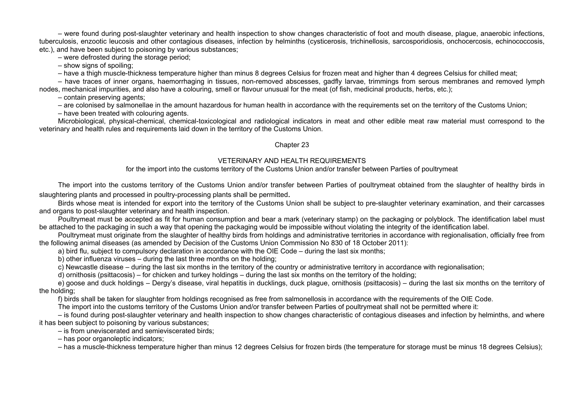– were found during post-slaughter veterinary and health inspection to show changes characteristic of foot and mouth disease, plague, anaerobic infections, tuberculosis, enzootic leucosis and other contagious diseases, infection by helminths (cysticerosis, trichinellosis, sarcosporidiosis, onchocercosis, echinococcosis, etc.), and have been subject to poisoning by various substances;

– were defrosted during the storage period;

– show signs of spoiling;

– have a thigh muscle-thickness temperature higher than minus 8 degrees Celsius for frozen meat and higher than 4 degrees Celsius for chilled meat;

– have traces of inner organs, haemorrhaging in tissues, non-removed abscesses, gadfly larvae, trimmings from serous membranes and removed lymph nodes, mechanical impurities, and also have a colouring, smell or flavour unusual for the meat (of fish, medicinal products, herbs, etc.);

– contain preserving agents;

– are colonised by salmonellae in the amount hazardous for human health in accordance with the requirements set on the territory of the Customs Union;

– have been treated with colouring agents.

Microbiological, physical-chemical, chemical-toxicological and radiological indicators in meat and other edible meat raw material must correspond to the veterinary and health rules and requirements laid down in the territory of the Customs Union.

### Chapter 23

## VETERINARY AND HEALTH REQUIREMENTS

### for the import into the customs territory of the Customs Union and/or transfer between Parties of poultrymeat

The import into the customs territory of the Customs Union and/or transfer between Parties of poultrymeat obtained from the slaughter of healthy birds in slaughtering plants and processed in poultry-processing plants shall be permitted.

Birds whose meat is intended for export into the territory of the Customs Union shall be subject to pre-slaughter veterinary examination, and their carcasses and organs to post-slaughter veterinary and health inspection.

Poultrymeat must be accepted as fit for human consumption and bear a mark (veterinary stamp) on the packaging or polyblock. The identification label must be attached to the packaging in such a way that opening the packaging would be impossible without violating the integrity of the identification label.

Poultrymeat must originate from the slaughter of healthy birds from holdings and administrative territories in accordance with regionalisation, officially free from the following animal diseases (as amended by Decision of the Customs Union Commission No 830 of 18 October 2011):

a) bird flu, subject to compulsory declaration in accordance with the OIE Code – during the last six months;

b) other influenza viruses – during the last three months on the holding;

c) Newcastle disease – during the last six months in the territory of the country or administrative territory in accordance with regionalisation;

d) ornithosis (psittacosis) – for chicken and turkey holdings – during the last six months on the territory of the holding;

e) goose and duck holdings – Dergy's disease, viral hepatitis in ducklings, duck plague, ornithosis (psittacosis) – during the last six months on the territory of the holding;

f) birds shall be taken for slaughter from holdings recognised as free from salmonellosis in accordance with the requirements of the OIE Code.

The import into the customs territory of the Customs Union and/or transfer between Parties of poultrymeat shall not be permitted where it:

– is found during post-slaughter veterinary and health inspection to show changes characteristic of contagious diseases and infection by helminths, and where it has been subject to poisoning by various substances;

– is from uneviscerated and semieviscerated birds;

– has poor organoleptic indicators;

– has a muscle-thickness temperature higher than minus 12 degrees Celsius for frozen birds (the temperature for storage must be minus 18 degrees Celsius);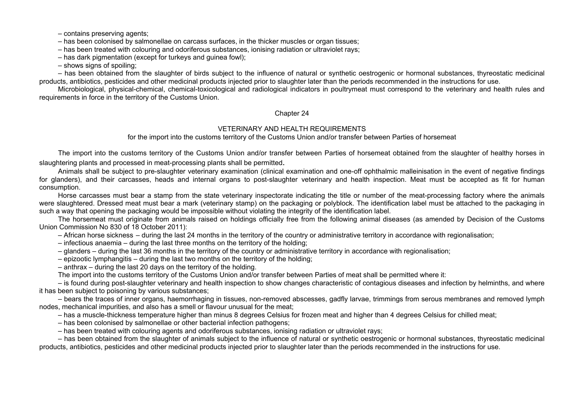– contains preserving agents;

– has been colonised by salmonellae on carcass surfaces, in the thicker muscles or organ tissues;

– has been treated with colouring and odoriferous substances, ionising radiation or ultraviolet rays;

 $-$  has dark pigmentation (except for turkeys and guinea fowl);

– shows signs of spoiling;

– has been obtained from the slaughter of birds subject to the influence of natural or synthetic oestrogenic or hormonal substances, thyreostatic medicinal products, antibiotics, pesticides and other medicinal products injected prior to slaughter later than the periods recommended in the instructions for use.

Microbiological, physical-chemical, chemical-toxicological and radiological indicators in poultrymeat must correspond to the veterinary and health rules and requirements in force in the territory of the Customs Union.

### Chapter 24

## VETERINARY AND HEALTH REQUIREMENTS

for the import into the customs territory of the Customs Union and/or transfer between Parties of horsemeat

The import into the customs territory of the Customs Union and/or transfer between Parties of horsemeat obtained from the slaughter of healthy horses in slaughtering plants and processed in meat-processing plants shall be permitted.

Animals shall be subject to pre-slaughter veterinary examination (clinical examination and one-off ophthalmic malleinisation in the event of negative findings for glanders), and their carcasses, heads and internal organs to post-slaughter veterinary and health inspection. Meat must be accepted as fit for human consumption.

Horse carcasses must bear a stamp from the state veterinary inspectorate indicating the title or number of the meat-processing factory where the animals were slaughtered. Dressed meat must bear a mark (veterinary stamp) on the packaging or polyblock. The identification label must be attached to the packaging in such a way that opening the packaging would be impossible without violating the integrity of the identification label.

The horsemeat must originate from animals raised on holdings officially free from the following animal diseases (as amended by Decision of the Customs Union Commission No 830 of 18 October 2011):

– African horse sickness – during the last 24 months in the territory of the country or administrative territory in accordance with regionalisation;

– infectious anaemia – during the last three months on the territory of the holding;

– glanders – during the last 36 months in the territory of the country or administrative territory in accordance with regionalisation;

– epizootic lymphangitis – during the last two months on the territory of the holding;

– anthrax – during the last 20 days on the territory of the holding.

The import into the customs territory of the Customs Union and/or transfer between Parties of meat shall be permitted where it:

– is found during post-slaughter veterinary and health inspection to show changes characteristic of contagious diseases and infection by helminths, and where it has been subject to poisoning by various substances;

– bears the traces of inner organs, haemorrhaging in tissues, non-removed abscesses, gadfly larvae, trimmings from serous membranes and removed lymph nodes, mechanical impurities, and also has a smell or flavour unusual for the meat;

– has a muscle-thickness temperature higher than minus 8 degrees Celsius for frozen meat and higher than 4 degrees Celsius for chilled meat;

– has been colonised by salmonellae or other bacterial infection pathogens;

– has been treated with colouring agents and odoriferous substances, ionising radiation or ultraviolet rays;

– has been obtained from the slaughter of animals subject to the influence of natural or synthetic oestrogenic or hormonal substances, thyreostatic medicinal products, antibiotics, pesticides and other medicinal products injected prior to slaughter later than the periods recommended in the instructions for use.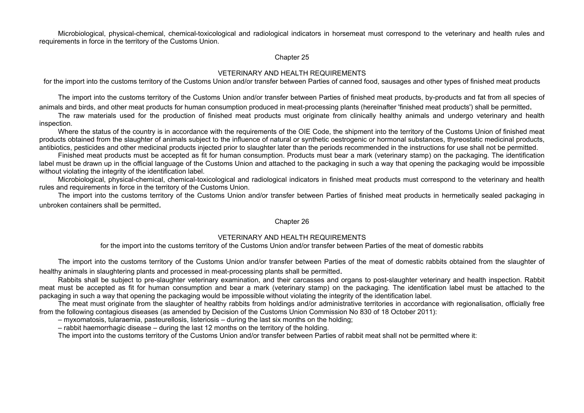Microbiological, physical-chemical, chemical-toxicological and radiological indicators in horsemeat must correspond to the veterinary and health rules and requirements in force in the territory of the Customs Union.

#### Chapter 25

### VETERINARY AND HEALTH REQUIREMENTS

for the import into the customs territory of the Customs Union and/or transfer between Parties of canned food, sausages and other types of finished meat products

The import into the customs territory of the Customs Union and/or transfer between Parties of finished meat products, by-products and fat from all species of animals and birds, and other meat products for human consumption produced in meat-processing plants (hereinafter 'finished meat products') shall be permitted.

The raw materials used for the production of finished meat products must originate from clinically healthy animals and undergo veterinary and health inspection.

Where the status of the country is in accordance with the requirements of the OIE Code, the shipment into the territory of the Customs Union of finished meat products obtained from the slaughter of animals subject to the influence of natural or synthetic oestrogenic or hormonal substances, thyreostatic medicinal products, antibiotics, pesticides and other medicinal products injected prior to slaughter later than the periods recommended in the instructions for use shall not be permitted.

Finished meat products must be accepted as fit for human consumption. Products must bear a mark (veterinary stamp) on the packaging. The identification label must be drawn up in the official language of the Customs Union and attached to the packaging in such a way that opening the packaging would be impossible without violating the integrity of the identification label.

Microbiological, physical-chemical, chemical-toxicological and radiological indicators in finished meat products must correspond to the veterinary and health rules and requirements in force in the territory of the Customs Union.

The import into the customs territory of the Customs Union and/or transfer between Parties of finished meat products in hermetically sealed packaging in unbroken containers shall be permitted.

#### Chapter 26

### VETERINARY AND HEALTH REQUIREMENTS

for the import into the customs territory of the Customs Union and/or transfer between Parties of the meat of domestic rabbits

The import into the customs territory of the Customs Union and/or transfer between Parties of the meat of domestic rabbits obtained from the slaughter of healthy animals in slaughtering plants and processed in meat-processing plants shall be permitted.

Rabbits shall be subject to pre-slaughter veterinary examination, and their carcasses and organs to post-slaughter veterinary and health inspection. Rabbit meat must be accepted as fit for human consumption and bear a mark (veterinary stamp) on the packaging. The identification label must be attached to the packaging in such a way that opening the packaging would be impossible without violating the integrity of the identification label.

The meat must originate from the slaughter of healthy rabbits from holdings and/or administrative territories in accordance with regionalisation, officially free from the following contagious diseases (as amended by Decision of the Customs Union Commission No 830 of 18 October 2011):

– myxomatosis, tularaemia, pasteurellosis, listeriosis – during the last six months on the holding;

– rabbit haemorrhagic disease – during the last 12 months on the territory of the holding.

The import into the customs territory of the Customs Union and/or transfer between Parties of rabbit meat shall not be permitted where it: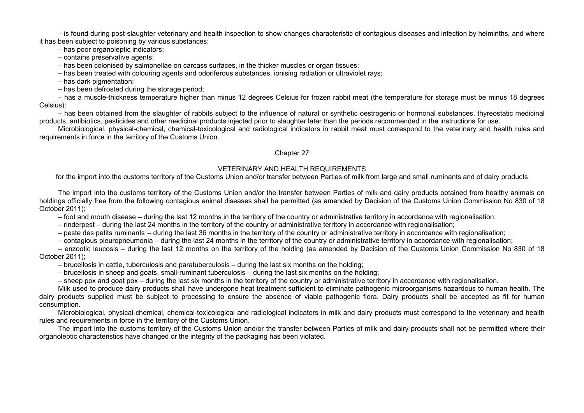– is found during post-slaughter veterinary and health inspection to show changes characteristic of contagious diseases and infection by helminths, and where it has been subject to poisoning by various substances;

– has poor organoleptic indicators;

– contains preservative agents;

– has been colonised by salmonellae on carcass surfaces, in the thicker muscles or organ tissues;

– has been treated with colouring agents and odoriferous substances, ionising radiation or ultraviolet rays;

– has dark pigmentation;

– has been defrosted during the storage period;

– has a muscle-thickness temperature higher than minus 12 degrees Celsius for frozen rabbit meat (the temperature for storage must be minus 18 degrees Celsius)*;*

– has been obtained from the slaughter of rabbits subject to the influence of natural or synthetic oestrogenic or hormonal substances, thyreostatic medicinal products, antibiotics, pesticides and other medicinal products injected prior to slaughter later than the periods recommended in the instructions for use.

Microbiological, physical-chemical, chemical-toxicological and radiological indicators in rabbit meat must correspond to the veterinary and health rules and requirements in force in the territory of the Customs Union.

### Chapter 27

### VETERINARY AND HEALTH REQUIREMENTS

for the import into the customs territory of the Customs Union and/or transfer between Parties of milk from large and small ruminants and of dairy products

The import into the customs territory of the Customs Union and/or the transfer between Parties of milk and dairy products obtained from healthy animals on holdings officially free from the following contagious animal diseases shall be permitted (as amended by Decision of the Customs Union Commission No 830 of 18 October 2011):

– foot and mouth disease – during the last 12 months in the territory of the country or administrative territory in accordance with regionalisation;

– rinderpest – during the last 24 months in the territory of the country or administrative territory in accordance with regionalisation;

- peste des petits ruminants during the last 36 months in the territory of the country or administrative territory in accordance with regionalisation;
- contagious pleuropneumonia during the last 24 months in the territory of the country or administrative territory in accordance with regionalisation;

– enzootic leucosis – during the last 12 months on the territory of the holding (as amended by Decision of the Customs Union Commission No 830 of 18 October 2011);

– brucellosis in cattle, tuberculosis and paratuberculosis – during the last six months on the holding;

– brucellosis in sheep and goats, small-ruminant tuberculosis – during the last six months on the holding;

– sheep pox and goat pox – during the last six months in the territory of the country or administrative territory in accordance with regionalisation.

Milk used to produce dairy products shall have undergone heat treatment sufficient to eliminate pathogenic microorganisms hazardous to human health. The dairy products supplied must be subject to processing to ensure the absence of viable pathogenic flora. Dairy products shall be accepted as fit for human consumption.

Microbiological, physical-chemical, chemical-toxicological and radiological indicators in milk and dairy products must correspond to the veterinary and health rules and requirements in force in the territory of the Customs Union.

The import into the customs territory of the Customs Union and/or the transfer between Parties of milk and dairy products shall not be permitted where their organoleptic characteristics have changed or the integrity of the packaging has been violated.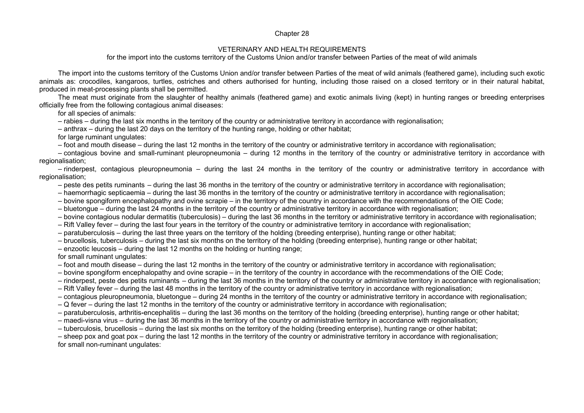#### Chapter 28

#### VETERINARY AND HEALTH REQUIREMENTS

for the import into the customs territory of the Customs Union and/or transfer between Parties of the meat of wild animals

The import into the customs territory of the Customs Union and/or transfer between Parties of the meat of wild animals (feathered game), including such exotic animals as: crocodiles, kangaroos, turtles, ostriches and others authorised for hunting, including those raised on a closed territory or in their natural habitat, produced in meat-processing plants shall be permitted.

The meat must originate from the slaughter of healthy animals (feathered game) and exotic animals living (kept) in hunting ranges or breeding enterprises officially free from the following contagious animal diseases:

for all species of animals:

– rabies – during the last six months in the territory of the country or administrative territory in accordance with regionalisation;

– anthrax – during the last 20 days on the territory of the hunting range, holding or other habitat;

for large ruminant ungulates:

– foot and mouth disease – during the last 12 months in the territory of the country or administrative territory in accordance with regionalisation;

– contagious bovine and small-ruminant pleuropneumonia – during 12 months in the territory of the country or administrative territory in accordance with regionalisation;

– rinderpest, contagious pleuropneumonia – during the last 24 months in the territory of the country or administrative territory in accordance with regionalisation;

– peste des petits ruminants – during the last 36 months in the territory of the country or administrative territory in accordance with regionalisation;

– haemorrhagic septicaemia – during the last 36 months in the territory of the country or administrative territory in accordance with regionalisation;

– bovine spongiform encephalopathy and ovine scrapie – in the territory of the country in accordance with the recommendations of the OIE Code;

– bluetongue – during the last 24 months in the territory of the country or administrative territory in accordance with regionalisation;

– bovine contagious nodular dermatitis (tuberculosis) – during the last 36 months in the territory or administrative territory in accordance with regionalisation;

– Rift Valley fever – during the last four years in the territory of the country or administrative territory in accordance with regionalisation;

– paratuberculosis – during the last three years on the territory of the holding (breeding enterprise), hunting range or other habitat;

– brucellosis, tuberculosis – during the last six months on the territory of the holding (breeding enterprise), hunting range or other habitat;

– enzootic leucosis – during the last 12 months on the holding or hunting range;

for small ruminant ungulates:

– foot and mouth disease – during the last 12 months in the territory of the country or administrative territory in accordance with regionalisation;

– bovine spongiform encephalopathy and ovine scrapie – in the territory of the country in accordance with the recommendations of the OIE Code;

– rinderpest, peste des petits ruminants – during the last 36 months in the territory of the country or administrative territory in accordance with regionalisation;

– Rift Valley fever – during the last 48 months in the territory of the country or administrative territory in accordance with regionalisation;

– contagious pleuropneumonia, bluetongue – during 24 months in the territory of the country or administrative territory in accordance with regionalisation;

– Q fever – during the last 12 months in the territory of the country or administrative territory in accordance with regionalisation;

– paratuberculosis, arthritis**-**encephalitis – during the last 36 months on the territory of the holding (breeding enterprise), hunting range or other habitat;

– maedi-visna virus – during the last 36 months in the territory of the country or administrative territory in accordance with regionalisation;

– tuberculosis, brucellosis – during the last six months on the territory of the holding (breeding enterprise), hunting range or other habitat;

– sheep pox and goat pox – during the last 12 months in the territory of the country or administrative territory in accordance with regionalisation; for small non-ruminant ungulates: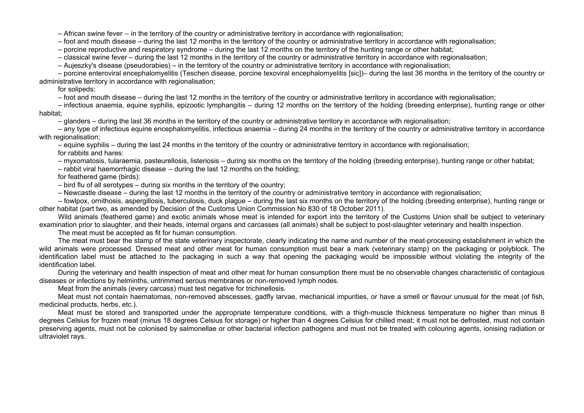– African swine fever – in the territory of the country or administrative territory in accordance with regionalisation;

– foot and mouth disease – during the last 12 months in the territory of the country or administrative territory in accordance with regionalisation;

– porcine reproductive and respiratory syndrome – during the last 12 months on the territory of the hunting range or other habitat;

– classical swine fever – during the last 12 months in the territory of the country or administrative territory in accordance with regionalisation;

– Aujeszky's disease (pseudorabies) – in the territory of the country or administrative territory in accordance with regionalisation;

– porcine enteroviral encephalomyelitis (Teschen disease, porcine texoviral encephalomyelitis [sic])– during the last 36 months in the territory of the country or administrative territory in accordance with regionalisation;

for solipeds:

– foot and mouth disease – during the last 12 months in the territory of the country or administrative territory in accordance with regionalisation;

– infectious anaemia, equine syphilis, epizootic lymphangitis – during 12 months on the territory of the holding (breeding enterprise), hunting range or other habitat;

– glanders – during the last 36 months in the territory of the country or administrative territory in accordance with regionalisation;

– any type of infectious equine encephalomyelitis, infectious anaemia – during 24 months in the territory of the country or administrative territory in accordance with regionalisation;

– equine syphilis – during the last 24 months in the territory of the country or administrative territory in accordance with regionalisation;

for rabbits and hares:

– myxomatosis, tularaemia, pasteurellosis, listeriosis – during six months on the territory of the holding (breeding enterprise), hunting range or other habitat;

– rabbit viral haemorrhagic disease – during the last 12 months on the holding;

for feathered game (birds):

– bird flu of all serotypes – during six months in the territory of the country;

– Newcastle disease – during the last 12 months in the territory of the country or administrative territory in accordance with regionalisation;

– fowlpox, ornithosis, aspergillosis, tuberculosis, duck plague – during the last six months on the territory of the holding (breeding enterprise), hunting range or other habitat (part two, as amended by Decision of the Customs Union Commission No 830 of 18 October 2011).

Wild animals (feathered game) and exotic animals whose meat is intended for export into the territory of the Customs Union shall be subject to veterinary examination prior to slaughter, and their heads, internal organs and carcasses (all animals) shall be subject to post-slaughter veterinary and health inspection.

The meat must be accepted as fit for human consumption.

The meat must bear the stamp of the state veterinary inspectorate, clearly indicating the name and number of the meat-processing establishment in which the wild animals were processed. Dressed meat and other meat for human consumption must bear a mark (veterinary stamp) on the packaging or polyblock. The identification label must be attached to the packaging in such a way that opening the packaging would be impossible without violating the integrity of the identification label.

During the veterinary and health inspection of meat and other meat for human consumption there must be no observable changes characteristic of contagious diseases or infections by helminths, untrimmed serous membranes or non-removed lymph nodes.

Meat from the animals (every carcass) must test negative for trichinellosis.

Meat must not contain haematomas, non-removed abscesses, gadfly larvae, mechanical impurities, or have a smell or flavour unusual for the meat (of fish, medicinal products, herbs, etc.).

Meat must be stored and transported under the appropriate temperature conditions, with a thigh-muscle thickness temperature no higher than minus 8 degrees Celsius for frozen meat (minus 18 degrees Celsius for storage) or higher than 4 degrees Celsius for chilled meat; it must not be defrosted, must not contain preserving agents, must not be colonised by salmonellae or other bacterial infection pathogens and must not be treated with colouring agents, ionising radiation or ultraviolet rays.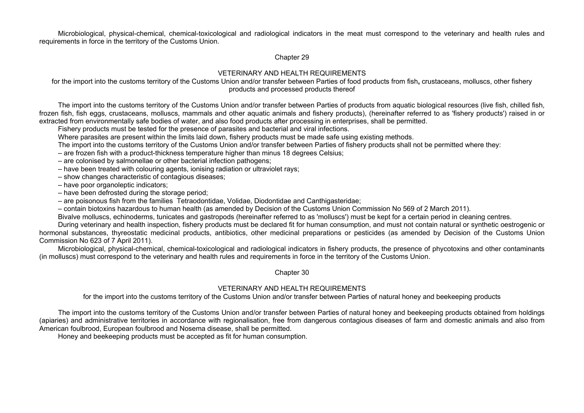Microbiological, physical-chemical, chemical-toxicological and radiological indicators in the meat must correspond to the veterinary and health rules and requirements in force in the territory of the Customs Union.

Chapter 29

## VETERINARY AND HEALTH REQUIREMENTS

for the import into the customs territory of the Customs Union and/or transfer between Parties of food products from fish**,** crustaceans, molluscs, other fishery products and processed products thereof

The import into the customs territory of the Customs Union and/or transfer between Parties of products from aquatic biological resources (live fish, chilled fish, frozen fish, fish eggs, crustaceans, molluscs, mammals and other aquatic animals and fishery products), (hereinafter referred to as 'fishery products') raised in or extracted from environmentally safe bodies of water, and also food products after processing in enterprises, shall be permitted.

Fishery products must be tested for the presence of parasites and bacterial and viral infections.

Where parasites are present within the limits laid down, fishery products must be made safe using existing methods.

The import into the customs territory of the Customs Union and/or transfer between Parties of fishery products shall not be permitted where they:

– are frozen fish with a product-thickness temperature higher than minus 18 degrees Celsius;

– are colonised by salmonellae or other bacterial infection pathogens;

– have been treated with colouring agents, ionising radiation or ultraviolet rays;

– show changes characteristic of contagious diseases;

– have poor organoleptic indicators;

– have been defrosted during the storage period;

– are poisonous fish from the families Tetraodontidae, Volidae, Diodontidae and Canthigasteridae;

– contain biotoxins hazardous to human health (as amended by Decision of the Customs Union Commission No 569 of 2 March 2011).

Bivalve molluscs, echinoderms, tunicates and gastropods (hereinafter referred to as 'molluscs') must be kept for a certain period in cleaning centres.

During veterinary and health inspection, fishery products must be declared fit for human consumption, and must not contain natural or synthetic oestrogenic or hormonal substances, thyreostatic medicinal products, antibiotics, other medicinal preparations or pesticides (as amended by Decision of the Customs Union Commission No 623 of 7 April 2011).

Microbiological, physical-chemical, chemical-toxicological and radiological indicators in fishery products, the presence of phycotoxins and other contaminants (in molluscs) must correspond to the veterinary and health rules and requirements in force in the territory of the Customs Union.

Chapter 30

## VETERINARY AND HEALTH REQUIREMENTS

for the import into the customs territory of the Customs Union and/or transfer between Parties of natural honey and beekeeping products

The import into the customs territory of the Customs Union and/or transfer between Parties of natural honey and beekeeping products obtained from holdings (apiaries) and administrative territories in accordance with regionalisation, free from dangerous contagious diseases of farm and domestic animals and also from American foulbrood, European foulbrood and Nosema disease, shall be permitted.

Honey and beekeeping products must be accepted as fit for human consumption.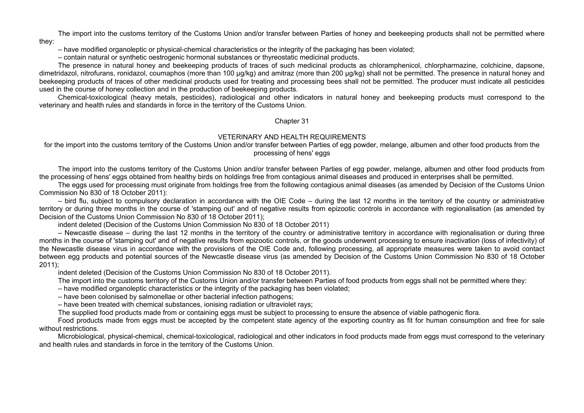The import into the customs territory of the Customs Union and/or transfer between Parties of honey and beekeeping products shall not be permitted where they:

– have modified organoleptic or physical-chemical characteristics or the integrity of the packaging has been violated;

– contain natural or synthetic oestrogenic hormonal substances or thyreostatic medicinal products.

The presence in natural honey and beekeeping products of traces of such medicinal products as chloramphenicol, chlorpharmazine, colchicine, dapsone, dimetridazol, nitrofurans, ronidazol, coumaphos (more than 100 µg/kg) and amitraz (more than 200 µg/kg) shall not be permitted. The presence in natural honey and beekeeping products of traces of other medicinal products used for treating and processing bees shall not be permitted. The producer must indicate all pesticides used in the course of honey collection and in the production of beekeeping products.

Chemical-toxicological (heavy metals, pesticides), radiological and other indicators in natural honey and beekeeping products must correspond to the veterinary and health rules and standards in force in the territory of the Customs Union.

#### Chapter 31

### VETERINARY AND HEALTH REQUIREMENTS

for the import into the customs territory of the Customs Union and/or transfer between Parties of egg powder, melange, albumen and other food products from the processing of hens' eggs

The import into the customs territory of the Customs Union and/or transfer between Parties of egg powder, melange, albumen and other food products from the processing of hens' eggs obtained from healthy birds on holdings free from contagious animal diseases and produced in enterprises shall be permitted.

The eggs used for processing must originate from holdings free from the following contagious animal diseases (as amended by Decision of the Customs Union Commission No 830 of 18 October 2011):

– bird flu, subject to compulsory declaration in accordance with the OIE Code – during the last 12 months in the territory of the country or administrative territory or during three months in the course of 'stamping out' and of negative results from epizootic controls in accordance with regionalisation (as amended by Decision of the Customs Union Commission No 830 of 18 October 2011);

indent deleted (Decision of the Customs Union Commission No 830 of 18 October 2011)

– Newcastle disease – during the last 12 months in the territory of the country or administrative territory in accordance with regionalisation or during three months in the course of 'stamping out' and of negative results from epizootic controls, or the goods underwent processing to ensure inactivation (loss of infectivity) of the Newcastle disease virus in accordance with the provisions of the OIE Code and, following processing, all appropriate measures were taken to avoid contact between egg products and potential sources of the Newcastle disease virus (as amended by Decision of the Customs Union Commission No 830 of 18 October 2011);

indent deleted (Decision of the Customs Union Commission No 830 of 18 October 2011).

The import into the customs territory of the Customs Union and/or transfer between Parties of food products from eggs shall not be permitted where they:

– have modified organoleptic characteristics or the integrity of the packaging has been violated;

– have been colonised by salmonellae or other bacterial infection pathogens;

– have been treated with chemical substances, ionising radiation or ultraviolet rays;

The supplied food products made from or containing eggs must be subject to processing to ensure the absence of viable pathogenic flora.

Food products made from eggs must be accepted by the competent state agency of the exporting country as fit for human consumption and free for sale without restrictions.

Microbiological, physical-chemical, chemical-toxicological, radiological and other indicators in food products made from eggs must correspond to the veterinary and health rules and standards in force in the territory of the Customs Union.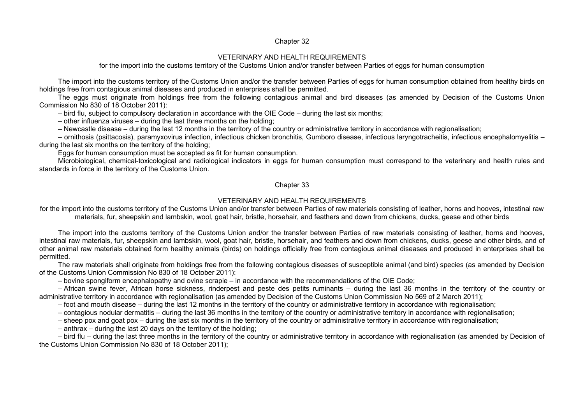#### Chapter 32

#### VETERINARY AND HEALTH REQUIREMENTS

for the import into the customs territory of the Customs Union and/or transfer between Parties of eggs for human consumption

The import into the customs territory of the Customs Union and/or the transfer between Parties of eggs for human consumption obtained from healthy birds on holdings free from contagious animal diseases and produced in enterprises shall be permitted.

The eggs must originate from holdings free from the following contagious animal and bird diseases (as amended by Decision of the Customs Union Commission No 830 of 18 October 2011):

– bird flu, subject to compulsory declaration in accordance with the OIE Code – during the last six months;

– other influenza viruses – during the last three months on the holding;

– Newcastle disease – during the last 12 months in the territory of the country or administrative territory in accordance with regionalisation;

– ornithosis (psittacosis), paramyxovirus infection, infectious chicken bronchitis, Gumboro disease, infectious laryngotracheitis, infectious encephalomyelitis – during the last six months on the territory of the holding;

Eggs for human consumption must be accepted as fit for human consumption.

Microbiological, chemical-toxicological and radiological indicators in eggs for human consumption must correspond to the veterinary and health rules and standards in force in the territory of the Customs Union.

### Chapter 33

### VETERINARY AND HEALTH REQUIREMENTS

for the import into the customs territory of the Customs Union and/or transfer between Parties of raw materials consisting of leather, horns and hooves, intestinal raw materials, fur, sheepskin and lambskin, wool, goat hair, bristle, horsehair, and feathers and down from chickens, ducks, geese and other birds

The import into the customs territory of the Customs Union and/or the transfer between Parties of raw materials consisting of leather, horns and hooves, intestinal raw materials, fur, sheepskin and lambskin, wool, goat hair, bristle, horsehair, and feathers and down from chickens, ducks, geese and other birds, and of other animal raw materials obtained form healthy animals (birds) on holdings officially free from contagious animal diseases and produced in enterprises shall be permitted.

The raw materials shall originate from holdings free from the following contagious diseases of susceptible animal (and bird) species (as amended by Decision of the Customs Union Commission No 830 of 18 October 2011):

– bovine spongiform encephalopathy and ovine scrapie – in accordance with the recommendations of the OIE Code;

– African swine fever, African horse sickness, rinderpest and peste des petits ruminants – during the last 36 months in the territory of the country or administrative territory in accordance with regionalisation (as amended by Decision of the Customs Union Commission No 569 of 2 March 2011);

– foot and mouth disease – during the last 12 months in the territory of the country or administrative territory in accordance with regionalisation;

– contagious nodular dermatitis – during the last 36 months in the territory of the country or administrative territory in accordance with regionalisation;

– sheep pox and goat pox – during the last six months in the territory of the country or administrative territory in accordance with regionalisation;

– anthrax – during the last 20 days on the territory of the holding;

– bird flu – during the last three months in the territory of the country or administrative territory in accordance with regionalisation (as amended by Decision of the Customs Union Commission No 830 of 18 October 2011);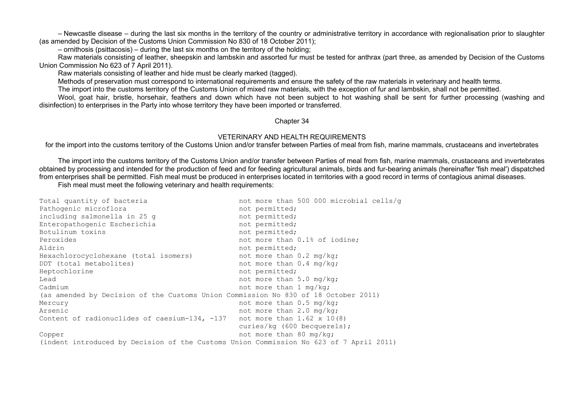– Newcastle disease – during the last six months in the territory of the country or administrative territory in accordance with regionalisation prior to slaughter (as amended by Decision of the Customs Union Commission No 830 of 18 October 2011);

– ornithosis (psittacosis) – during the last six months on the territory of the holding;

Raw materials consisting of leather, sheepskin and lambskin and assorted fur must be tested for anthrax (part three, as amended by Decision of the Customs Union Commission No 623 of 7 April 2011).

Raw materials consisting of leather and hide must be clearly marked (tagged).

Methods of preservation must correspond to international requirements and ensure the safety of the raw materials in veterinary and health terms.

The import into the customs territory of the Customs Union of mixed raw materials, with the exception of fur and lambskin, shall not be permitted.

Wool, goat hair, bristle, horsehair, feathers and down which have not been subject to hot washing shall be sent for further processing (washing and disinfection) to enterprises in the Party into whose territory they have been imported or transferred.

### Chapter 34

## VETERINARY AND HEALTH REQUIREMENTS

for the import into the customs territory of the Customs Union and/or transfer between Parties of meal from fish, marine mammals, crustaceans and invertebrates

The import into the customs territory of the Customs Union and/or transfer between Parties of meal from fish, marine mammals, crustaceans and invertebrates obtained by processing and intended for the production of feed and for feeding agricultural animals, birds and fur-bearing animals (hereinafter 'fish meal') dispatched from enterprises shall be permitted. Fish meal must be produced in enterprises located in territories with a good record in terms of contagious animal diseases.

Fish meal must meet the following veterinary and health requirements:

| Total quantity of bacteria                                                             | not more than 500 000 microbial cells/q |
|----------------------------------------------------------------------------------------|-----------------------------------------|
| Pathogenic microflora                                                                  | not permitted;                          |
| including salmonella in 25 g                                                           | not permitted;                          |
| Enteropathogenic Escherichia                                                           | not permitted;                          |
| Botulinum toxins                                                                       | not permitted;                          |
| Peroxides                                                                              | not more than 0.1% of iodine;           |
| Aldrin                                                                                 | not permitted;                          |
| Hexachlorocyclohexane (total isomers)                                                  | not more than 0.2 mg/kg;                |
| DDT (total metabolites)                                                                | not more than 0.4 mg/kg;                |
| Heptochlorine                                                                          | not permitted;                          |
| Lead                                                                                   | not more than 5.0 mg/kg;                |
| Cadmium                                                                                | not more than 1 mg/kg;                  |
| (as amended by Decision of the Customs Union Commission No 830 of 18 October 2011)     |                                         |
| Mercury                                                                                | not more than $0.5 \text{ mg/kg}$ ;     |
| Arsenic                                                                                | not more than 2.0 mg/kg;                |
| Content of radionuclides of caesium-134, -137 not more than 1.62 x 10(8)               |                                         |
|                                                                                        | curies/kg (600 becquerels);             |
| Copper                                                                                 | not more than 80 mg/kg;                 |
| (indent introduced by Decision of the Customs Union Commission No 623 of 7 April 2011) |                                         |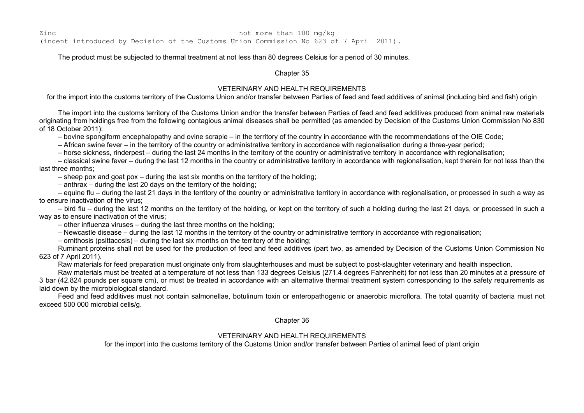Zinc 2.1 and 2.1 and 2.1 and 2.1 and 2.1 and 2.1 and 2.1 and 2.1 and 2.1 and 2.1 and 2.1 and 2.1 and 2.1 and 2.1 and 2.1 and 2.1 and 2.1 and 2.1 and 2.1 and 2.1 and 2.1 and 2.1 and 2.1 and 2.1 and 2.1 and 2.1 and 2.1 and 2 (indent introduced by Decision of the Customs Union Commission No 623 of 7 April 2011).

The product must be subjected to thermal treatment at not less than 80 degrees Celsius for a period of 30 minutes.

Chapter 35

### VETERINARY AND HEALTH REQUIREMENTS

for the import into the customs territory of the Customs Union and/or transfer between Parties of feed and feed additives of animal (including bird and fish) origin

The import into the customs territory of the Customs Union and/or the transfer between Parties of feed and feed additives produced from animal raw materials originating from holdings free from the following contagious animal diseases shall be permitted (as amended by Decision of the Customs Union Commission No 830 of 18 October 2011):

– bovine spongiform encephalopathy and ovine scrapie – in the territory of the country in accordance with the recommendations of the OIE Code;

– African swine fever – in the territory of the country or administrative territory in accordance with regionalisation during a three-year period;

– horse sickness, rinderpest – during the last 24 months in the territory of the country or administrative territory in accordance with regionalisation;

– classical swine fever – during the last 12 months in the country or administrative territory in accordance with regionalisation, kept therein for not less than the last three months;

– sheep pox and goat pox – during the last six months on the territory of the holding;

– anthrax – during the last 20 days on the territory of the holding;

– equine flu – during the last 21 days in the territory of the country or administrative territory in accordance with regionalisation, or processed in such a way as to ensure inactivation of the virus;

– bird flu – during the last 12 months on the territory of the holding, or kept on the territory of such a holding during the last 21 days, or processed in such a way as to ensure inactivation of the virus;

– other influenza viruses – during the last three months on the holding;

– Newcastle disease – during the last 12 months in the territory of the country or administrative territory in accordance with regionalisation;

– ornithosis (psittacosis) – during the last six months on the territory of the holding;

Ruminant proteins shall not be used for the production of feed and feed additives (part two, as amended by Decision of the Customs Union Commission No 623 of 7 April 2011).

Raw materials for feed preparation must originate only from slaughterhouses and must be subject to post-slaughter veterinary and health inspection.

Raw materials must be treated at a temperature of not less than 133 degrees Celsius (271.4 degrees Fahrenheit) for not less than 20 minutes at a pressure of 3 bar (42.824 pounds per square cm), or must be treated in accordance with an alternative thermal treatment system corresponding to the safety requirements as laid down by the microbiological standard.

Feed and feed additives must not contain salmonellae, botulinum toxin or enteropathogenic or anaerobic microflora. The total quantity of bacteria must not exceed 500 000 microbial cells/g.

Chapter 36

### VETERINARY AND HEALTH REQUIREMENTS

for the import into the customs territory of the Customs Union and/or transfer between Parties of animal feed of plant origin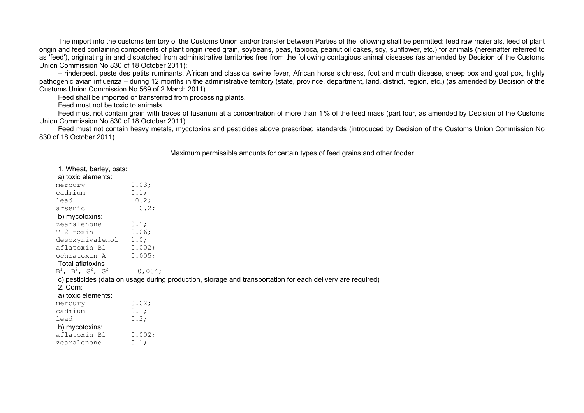The import into the customs territory of the Customs Union and/or transfer between Parties of the following shall be permitted: feed raw materials, feed of plant origin and feed containing components of plant origin (feed grain, soybeans, peas, tapioca, peanut oil cakes, soy, sunflower, etc.) for animals (hereinafter referred to as 'feed'), originating in and dispatched from administrative territories free from the following contagious animal diseases (as amended by Decision of the Customs Union Commission No 830 of 18 October 2011):

– rinderpest, peste des petits ruminants, African and classical swine fever, African horse sickness, foot and mouth disease, sheep pox and goat pox, highly pathogenic avian influenza – during 12 months in the administrative territory (state, province, department, land, district, region, etc.) (as amended by Decision of the Customs Union Commission No 569 of 2 March 2011).

Feed shall be imported or transferred from processing plants.

Feed must not be toxic to animals.

Feed must not contain grain with traces of fusarium at a concentration of more than 1 % of the feed mass (part four, as amended by Decision of the Customs Union Commission No 830 of 18 October 2011).

Feed must not contain heavy metals, mycotoxins and pesticides above prescribed standards (introduced by Decision of the Customs Union Commission No 830 of 18 October 2011).

Maximum permissible amounts for certain types of feed grains and other fodder

| 1. Wheat, barley, oats:<br>a) toxic elements: |                                                                                                            |
|-----------------------------------------------|------------------------------------------------------------------------------------------------------------|
| mercury                                       | 0.03;                                                                                                      |
| cadmium                                       | 0.1;                                                                                                       |
| lead                                          | 0.2;                                                                                                       |
| arsenic                                       | 0.2;                                                                                                       |
| b) mycotoxins:                                |                                                                                                            |
| zearalenone                                   | 0.1;                                                                                                       |
| $T-2$ toxin $0.06$ ;                          |                                                                                                            |
| desoxynivalenol 1.0;                          |                                                                                                            |
| aflatoxin B1 0.002;                           |                                                                                                            |
| ochratoxin A                                  | 0.005;                                                                                                     |
| Total aflatoxins                              |                                                                                                            |
| $B^1$ , $B^2$ , $G^2$ , $G^2$                 | 0,004;                                                                                                     |
|                                               | c) pesticides (data on usage during production, storage and transportation for each delivery are required) |
| $2.$ Corn:                                    |                                                                                                            |
| a) toxic elements:                            |                                                                                                            |
| mercury                                       | 0.02;                                                                                                      |
| cadmium                                       | 0.1;                                                                                                       |
| lead                                          | 0.2;                                                                                                       |
| b) mycotoxins:                                |                                                                                                            |
| aflatoxin B1                                  | 0.002;                                                                                                     |
| zearalenone                                   | 0.1;                                                                                                       |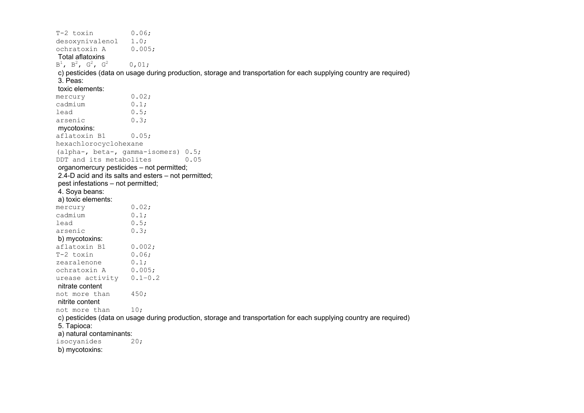| T-2 toxin                                 | 0.06;                                                                                                               |
|-------------------------------------------|---------------------------------------------------------------------------------------------------------------------|
| desoxynivalenol                           | 1.0;                                                                                                                |
| ochratoxin A                              | 0.005;                                                                                                              |
| <b>Total aflatoxins</b>                   |                                                                                                                     |
| $B^1$ , $B^2$ , $G^2$ , $G^2$             | 0,01;                                                                                                               |
|                                           | c) pesticides (data on usage during production, storage and transportation for each supplying country are required) |
| 3. Peas:                                  |                                                                                                                     |
| toxic elements:                           |                                                                                                                     |
| mercury                                   | 0.02;                                                                                                               |
| cadmium                                   | 0.1;                                                                                                                |
| lead                                      | 0.5;                                                                                                                |
| arsenic                                   | 0.3;                                                                                                                |
| mycotoxins:                               |                                                                                                                     |
| aflatoxin B1                              | 0.05;                                                                                                               |
| hexachlorocyclohexane                     |                                                                                                                     |
|                                           | (alpha-, beta-, gamma-isomers) 0.5;                                                                                 |
| DDT and its metabolites                   | 0.05                                                                                                                |
| organomercury pesticides - not permitted; |                                                                                                                     |
|                                           | 2.4-D acid and its salts and esters - not permitted;                                                                |
| pest infestations - not permitted;        |                                                                                                                     |
| 4. Soya beans:                            |                                                                                                                     |
| a) toxic elements:                        |                                                                                                                     |
| mercury                                   | 0.02;                                                                                                               |
| cadmium                                   | 0.1;                                                                                                                |
| lead                                      | 0.5;                                                                                                                |
| arsenic                                   | 0.3;                                                                                                                |
| b) mycotoxins:                            |                                                                                                                     |
| aflatoxin B1                              | 0.002;                                                                                                              |
| T-2 toxin                                 | 0.06;                                                                                                               |
| zearalenone                               | 0.1;                                                                                                                |
| ochratoxin A                              | 0.005;                                                                                                              |
| urease activity                           | $0.1 - 0.2$                                                                                                         |
| nitrate content                           |                                                                                                                     |
| not more than                             | 450;                                                                                                                |
| nitrite content                           |                                                                                                                     |
| not more than                             | 10;                                                                                                                 |
|                                           | c) pesticides (data on usage during production, storage and transportation for each supplying country are required) |
| 5. Tapioca:                               |                                                                                                                     |
| a) natural contaminants:                  |                                                                                                                     |
| isocyanides                               | 20:                                                                                                                 |
| b) mycotoxins:                            |                                                                                                                     |
|                                           |                                                                                                                     |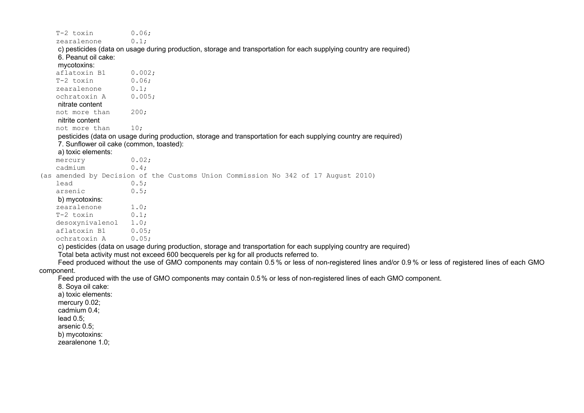| T-2 toxin                                | 0.06;                                                                                                                                                |
|------------------------------------------|------------------------------------------------------------------------------------------------------------------------------------------------------|
| zearalenone                              | 0.1;                                                                                                                                                 |
| 6. Peanut oil cake:<br>mycotoxins:       | c) pesticides (data on usage during production, storage and transportation for each supplying country are required)                                  |
| aflatoxin B1                             | 0.002;                                                                                                                                               |
| T-2 toxin                                | 0.06;                                                                                                                                                |
| zearalenone                              | 0.1;                                                                                                                                                 |
| ochratoxin A                             | 0.005;                                                                                                                                               |
| nitrate content                          |                                                                                                                                                      |
| not more than                            | 200;                                                                                                                                                 |
| nitrite content                          |                                                                                                                                                      |
| not more than                            | 10:                                                                                                                                                  |
|                                          | pesticides (data on usage during production, storage and transportation for each supplying country are required)                                     |
| 7. Sunflower oil cake (common, toasted): |                                                                                                                                                      |
| a) toxic elements:                       |                                                                                                                                                      |
| mercury                                  | 0.02;                                                                                                                                                |
| cadmium                                  | 0.4;                                                                                                                                                 |
|                                          | (as amended by Decision of the Customs Union Commission No 342 of 17 August 2010)                                                                    |
| lead                                     | 0.5;                                                                                                                                                 |
| arsenic                                  | 0.5;                                                                                                                                                 |
| b) mycotoxins:                           |                                                                                                                                                      |
| zearalenone                              | 1.0;                                                                                                                                                 |
| T-2 toxin                                | 0.1;                                                                                                                                                 |
| desoxynivalenol                          | 1.0;                                                                                                                                                 |
| aflatoxin B1                             | 0.05;                                                                                                                                                |
| ochratoxin A                             | 0.05;                                                                                                                                                |
|                                          | c) pesticides (data on usage during production, storage and transportation for each supplying country are required)                                  |
|                                          | Total beta activity must not exceed 600 becquerels per kg for all products referred to.                                                              |
|                                          | Feed produced without the use of GMO components may contain 0.5% or less of non-registered lines and/or 0.9% or less of registered lines of each GMO |
| component.                               |                                                                                                                                                      |
|                                          | Feed produced with the use of GMO components may contain 0.5% or less of non-registered lines of each GMO component.                                 |
| 8. Soya oil cake:                        |                                                                                                                                                      |
| a) toxic elements:                       |                                                                                                                                                      |
| mercury 0.02;                            |                                                                                                                                                      |
| cadmium 0.4;                             |                                                                                                                                                      |
| lead $0.5$ ;                             |                                                                                                                                                      |
| arsenic 0.5;                             |                                                                                                                                                      |
| b) mycotoxins:                           |                                                                                                                                                      |
| zearalenone 1.0;                         |                                                                                                                                                      |
|                                          |                                                                                                                                                      |
|                                          |                                                                                                                                                      |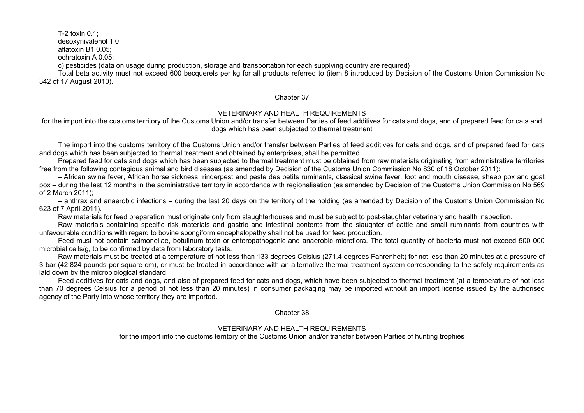T-2 toxin 0.1;

desoxynivalenol 1.0;

aflatoxin B1 0.05;

ochratoxin А 0.05;

c) pesticides (data on usage during production, storage and transportation for each supplying country are required)

Total beta activity must not exceed 600 becquerels per kg for all products referred to (item 8 introduced by Decision of the Customs Union Commission No 342 of 17 August 2010).

#### Chapter 37

### VETERINARY AND HEALTH REQUIREMENTS

for the import into the customs territory of the Customs Union and/or transfer between Parties of feed additives for cats and dogs, and of prepared feed for cats and dogs which has been subjected to thermal treatment

The import into the customs territory of the Customs Union and/or transfer between Parties of feed additives for cats and dogs, and of prepared feed for cats and dogs which has been subjected to thermal treatment and obtained by enterprises, shall be permitted.

Prepared feed for cats and dogs which has been subjected to thermal treatment must be obtained from raw materials originating from administrative territories free from the following contagious animal and bird diseases (as amended by Decision of the Customs Union Commission No 830 of 18 October 2011):

– African swine fever, African horse sickness, rinderpest and peste des petits ruminants, classical swine fever, foot and mouth disease, sheep pox and goat pox – during the last 12 months in the administrative territory in accordance with regionalisation (as amended by Decision of the Customs Union Commission No 569 of 2 March 2011);

– anthrax and anaerobic infections – during the last 20 days on the territory of the holding (as amended by Decision of the Customs Union Commission No 623 of 7 April 2011).

Raw materials for feed preparation must originate only from slaughterhouses and must be subject to post-slaughter veterinary and health inspection.

Raw materials containing specific risk materials and gastric and intestinal contents from the slaughter of cattle and small ruminants from countries with unfavourable conditions with regard to bovine spongiform encephalopathy shall not be used for feed production.

Feed must not contain salmonellae, botulinum toxin or enteropathogenic and anaerobic microflora. The total quantity of bacteria must not exceed 500 000 microbial cells/g, to be confirmed by data from laboratory tests.

Raw materials must be treated at a temperature of not less than 133 degrees Celsius (271.4 degrees Fahrenheit) for not less than 20 minutes at a pressure of 3 bar (42.824 pounds per square cm), or must be treated in accordance with an alternative thermal treatment system corresponding to the safety requirements as laid down by the microbiological standard.

Feed additives for cats and dogs, and also of prepared feed for cats and dogs, which have been subjected to thermal treatment (at a temperature of not less than 70 degrees Celsius for a period of not less than 20 minutes) in consumer packaging may be imported without an import license issued by the authorised agency of the Party into whose territory they are imported*.*

#### Chapter 38

#### VETERINARY AND HEALTH REQUIREMENTS

for the import into the customs territory of the Customs Union and/or transfer between Parties of hunting trophies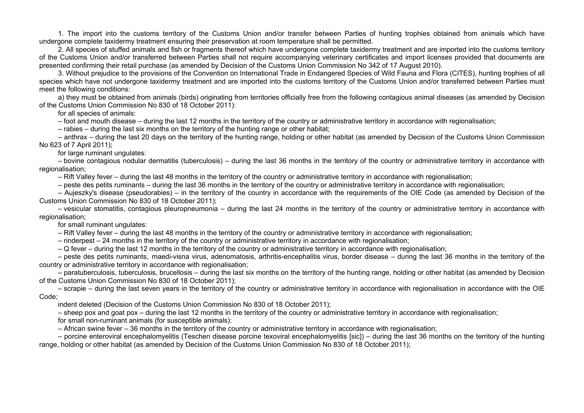1. The import into the customs territory of the Customs Union and/or transfer between Parties of hunting trophies obtained from animals which have undergone complete taxidermy treatment ensuring their preservation at room temperature shall be permitted.

2. All species of stuffed animals and fish or fragments thereof which have undergone complete taxidermy treatment and are imported into the customs territory of the Customs Union and/or transferred between Parties shall not require accompanying veterinary certificates and import licenses provided that documents are presented confirming their retail purchase (as amended by Decision of the Customs Union Commission No 342 of 17 August 2010).

3. Without prejudice to the provisions of the Convention on International Trade in Endangered Species of Wild Fauna and Flora (CITES), hunting trophies of all species which have not undergone taxidermy treatment and are imported into the customs territory of the Customs Union and/or transferred between Parties must meet the following conditions:

a) they must be obtained from animals (birds) originating from territories officially free from the following contagious animal diseases (as amended by Decision of the Customs Union Commission No 830 of 18 October 2011):

for all species of animals:

– foot and mouth disease – during the last 12 months in the territory of the country or administrative territory in accordance with regionalisation;

– rabies – during the last six months on the territory of the hunting range or other habitat;

– anthrax – during the last 20 days on the territory of the hunting range, holding or other habitat (as amended by Decision of the Customs Union Commission No 623 of 7 April 2011);

for large ruminant ungulates:

– bovine contagious nodular dermatitis (tuberculosis) – during the last 36 months in the territory of the country or administrative territory in accordance with regionalisation;

– Rift Valley fever – during the last 48 months in the territory of the country or administrative territory in accordance with regionalisation;

– peste des petits ruminants – during the last 36 months in the territory of the country or administrative territory in accordance with regionalisation;

– Aujeszky's disease (pseudorabies) – in the territory of the country in accordance with the requirements of the OIE Code (as amended by Decision of the Customs Union Commission No 830 of 18 October 2011);

– vesicular stomatitis, contagious pleuropneumonia – during the last 24 months in the territory of the country or administrative territory in accordance with regionalisation;

#### for small ruminant ungulates:

– Rift Valley fever – during the last 48 months in the territory of the country or administrative territory in accordance with regionalisation;

– rinderpest – 24 months in the territory of the country or administrative territory in accordance with regionalisation;

– Q fever – during the last 12 months in the territory of the country or administrative territory in accordance with regionalisation;

– peste des petits ruminants, maedi-visna virus, adenomatosis, arthritis-encephalitis virus, border disease – during the last 36 months in the territory of the country or administrative territory in accordance with regionalisation;

– paratuberculosis, tuberculosis, brucellosis – during the last six months on the territory of the hunting range, holding or other habitat (as amended by Decision of the Customs Union Commission No 830 of 18 October 2011);

– scrapie – during the last seven years in the territory of the country or administrative territory in accordance with regionalisation in accordance with the OIE Code;

indent deleted (Decision of the Customs Union Commission No 830 of 18 October 2011);

– sheep pox and goat pox – during the last 12 months in the territory of the country or administrative territory in accordance with regionalisation;

for small non-ruminant animals (for susceptible animals):

– African swine fever – 36 months in the territory of the country or administrative territory in accordance with regionalisation;

– porcine enteroviral encephalomyelitis (Teschen disease porcine texoviral encephalomyelitis [sic]) – during the last 36 months on the territory of the hunting range, holding or other habitat (as amended by Decision of the Customs Union Commission No 830 of 18 October 2011);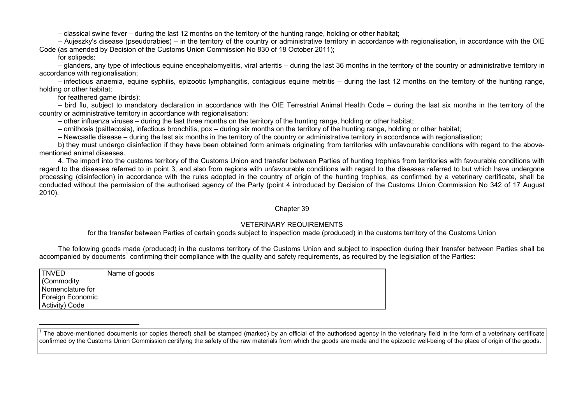– classical swine fever – during the last 12 months on the territory of the hunting range, holding or other habitat;

– Aujeszky's disease (pseudorabies) – in the territory of the country or administrative territory in accordance with regionalisation, in accordance with the OIE Code (as amended by Decision of the Customs Union Commission No 830 of 18 October 2011);

for solipeds:

– glanders, any type of infectious equine encephalomyelitis, viral arteritis – during the last 36 months in the territory of the country or administrative territory in accordance with regionalisation:

– infectious anaemia, equine syphilis, epizootic lymphangitis, contagious equine metritis – during the last 12 months on the territory of the hunting range, holding or other habitat;

for feathered game (birds):

– bird flu, subject to mandatory declaration in accordance with the OIE Terrestrial Animal Health Code – during the last six months in the territory of the country or administrative territory in accordance with regionalisation;

– other influenza viruses – during the last three months on the territory of the hunting range, holding or other habitat;

– ornithosis (psittacosis), infectious bronchitis, pox – during six months on the territory of the hunting range, holding or other habitat;

– Newcastle disease – during the last six months in the territory of the country or administrative territory in accordance with regionalisation;

b) they must undergo disinfection if they have been obtained form animals originating from territories with unfavourable conditions with regard to the abovementioned animal diseases.

4. The import into the customs territory of the Customs Union and transfer between Parties of hunting trophies from territories with favourable conditions with regard to the diseases referred to in point 3, and also from regions with unfavourable conditions with regard to the diseases referred to but which have undergone processing (disinfection) in accordance with the rules adopted in the country of origin of the hunting trophies, as confirmed by a veterinary certificate, shall be conducted without the permission of the authorised agency of the Party (point 4 introduced by Decision of the Customs Union Commission No 342 of 17 August 2010).

### Chapter 39

# VETERINARY REQUIREMENTS

## for the transfer between Parties of certain goods subject to inspection made (produced) in the customs territory of the Customs Union

The following goods made (produced) in the customs territory of the Customs Union and subject to inspection during their transfer between Parties shall be accompanied by documents<sup>1</sup> confirming their compliance with the quality and safety requirements, as required by the legislation of the Parties:

| <b>TNVED</b>     | Name of goods |
|------------------|---------------|
| (Commodity)      |               |
| Nomenclature for |               |
| Foreign Economic |               |
| Activity) Code   |               |

<sup>1</sup> The above-mentioned documents (or copies thereof) shall be stamped (marked) by an official of the authorised agency in the veterinary field in the form of a veterinary certificate confirmed by the Customs Union Commission certifying the safety of the raw materials from which the goods are made and the epizootic well-being of the place of origin of the goods.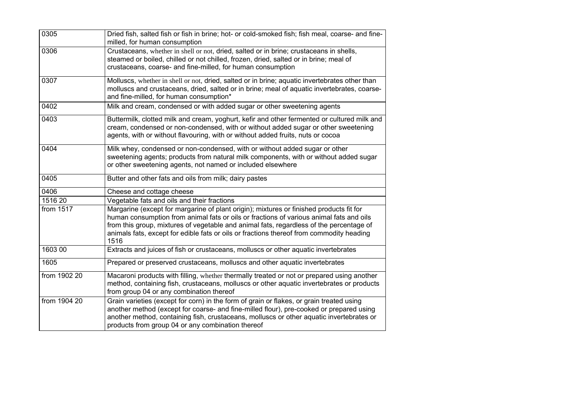| 0305         | Dried fish, salted fish or fish in brine; hot- or cold-smoked fish; fish meal, coarse- and fine-<br>milled, for human consumption                                                                                                                                                                                                                                                 |
|--------------|-----------------------------------------------------------------------------------------------------------------------------------------------------------------------------------------------------------------------------------------------------------------------------------------------------------------------------------------------------------------------------------|
| 0306         | Crustaceans, whether in shell or not, dried, salted or in brine; crustaceans in shells,<br>steamed or boiled, chilled or not chilled, frozen, dried, salted or in brine; meal of<br>crustaceans, coarse- and fine-milled, for human consumption                                                                                                                                   |
| 0307         | Molluscs, whether in shell or not, dried, salted or in brine; aquatic invertebrates other than<br>molluscs and crustaceans, dried, salted or in brine; meal of aquatic invertebrates, coarse-<br>and fine-milled, for human consumption*                                                                                                                                          |
| 0402         | Milk and cream, condensed or with added sugar or other sweetening agents                                                                                                                                                                                                                                                                                                          |
| 0403         | Buttermilk, clotted milk and cream, yoghurt, kefir and other fermented or cultured milk and<br>cream, condensed or non-condensed, with or without added sugar or other sweetening<br>agents, with or without flavouring, with or without added fruits, nuts or cocoa                                                                                                              |
| 0404         | Milk whey, condensed or non-condensed, with or without added sugar or other<br>sweetening agents; products from natural milk components, with or without added sugar<br>or other sweetening agents, not named or included elsewhere                                                                                                                                               |
| 0405         | Butter and other fats and oils from milk; dairy pastes                                                                                                                                                                                                                                                                                                                            |
| 0406         | Cheese and cottage cheese                                                                                                                                                                                                                                                                                                                                                         |
| 1516 20      | Vegetable fats and oils and their fractions                                                                                                                                                                                                                                                                                                                                       |
| from 1517    | Margarine (except for margarine of plant origin); mixtures or finished products fit for<br>human consumption from animal fats or oils or fractions of various animal fats and oils<br>from this group, mixtures of vegetable and animal fats, regardless of the percentage of<br>animals fats, except for edible fats or oils or fractions thereof from commodity heading<br>1516 |
| 1603 00      | Extracts and juices of fish or crustaceans, molluscs or other aquatic invertebrates                                                                                                                                                                                                                                                                                               |
| 1605         | Prepared or preserved crustaceans, molluscs and other aquatic invertebrates                                                                                                                                                                                                                                                                                                       |
| from 1902 20 | Macaroni products with filling, whether thermally treated or not or prepared using another<br>method, containing fish, crustaceans, molluscs or other aquatic invertebrates or products<br>from group 04 or any combination thereof                                                                                                                                               |
| from 1904 20 | Grain varieties (except for corn) in the form of grain or flakes, or grain treated using<br>another method (except for coarse- and fine-milled flour), pre-cooked or prepared using<br>another method, containing fish, crustaceans, molluscs or other aquatic invertebrates or<br>products from group 04 or any combination thereof                                              |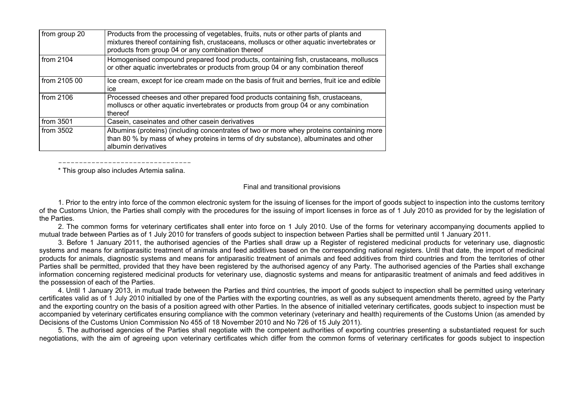| from group 20 | Products from the processing of vegetables, fruits, nuts or other parts of plants and<br>mixtures thereof containing fish, crustaceans, molluscs or other aquatic invertebrates or                      |
|---------------|---------------------------------------------------------------------------------------------------------------------------------------------------------------------------------------------------------|
|               | products from group 04 or any combination thereof                                                                                                                                                       |
| from 2104     | Homogenised compound prepared food products, containing fish, crustaceans, molluscs<br>or other aquatic invertebrates or products from group 04 or any combination thereof                              |
| from 2105 00  | Ice cream, except for ice cream made on the basis of fruit and berries, fruit ice and edible<br>ice                                                                                                     |
| from $2106$   | Processed cheeses and other prepared food products containing fish, crustaceans,<br>molluscs or other aquatic invertebrates or products from group 04 or any combination<br>thereof                     |
| from 3501     | Casein, caseinates and other casein derivatives                                                                                                                                                         |
| from $3502$   | Albumins (proteins) (including concentrates of two or more whey proteins containing more<br>than 80 % by mass of whey proteins in terms of dry substance), albuminates and other<br>albumin derivatives |

-------------------------------- \* This group also includes Artemia salina.

#### Final and transitional provisions

1. Prior to the entry into force of the common electronic system for the issuing of licenses for the import of goods subject to inspection into the customs territory of the Customs Union, the Parties shall comply with the procedures for the issuing of import licenses in force as of 1 July 2010 as provided for by the legislation of the Parties.

2. The common forms for veterinary certificates shall enter into force on 1 July 2010. Use of the forms for veterinary accompanying documents applied to mutual trade between Parties as of 1 July 2010 for transfers of goods subject to inspection between Parties shall be permitted until 1 January 2011.

3. Before 1 January 2011, the authorised agencies of the Parties shall draw up a Register of registered medicinal products for veterinary use, diagnostic systems and means for antiparasitic treatment of animals and feed additives based on the corresponding national registers. Until that date, the import of medicinal products for animals, diagnostic systems and means for antiparasitic treatment of animals and feed additives from third countries and from the territories of other Parties shall be permitted, provided that they have been registered by the authorised agency of any Party. The authorised agencies of the Parties shall exchange information concerning registered medicinal products for veterinary use, diagnostic systems and means for antiparasitic treatment of animals and feed additives in the possession of each of the Parties.

4. Until 1 January 2013, in mutual trade between the Parties and third countries, the import of goods subject to inspection shall be permitted using veterinary certificates valid as of 1 July 2010 initialled by one of the Parties with the exporting countries, as well as any subsequent amendments thereto, agreed by the Party and the exporting country on the basis of a position agreed with other Parties. In the absence of initialled veterinary certificates, goods subject to inspection must be accompanied by veterinary certificates ensuring compliance with the common veterinary (veterinary and health) requirements of the Customs Union (as amended by Decisions of the Customs Union Commission No 455 of 18 November 2010 and No 726 of 15 July 2011).

5. The authorised agencies of the Parties shall negotiate with the competent authorities of exporting countries presenting a substantiated request for such negotiations, with the aim of agreeing upon veterinary certificates which differ from the common forms of veterinary certificates for goods subject to inspection